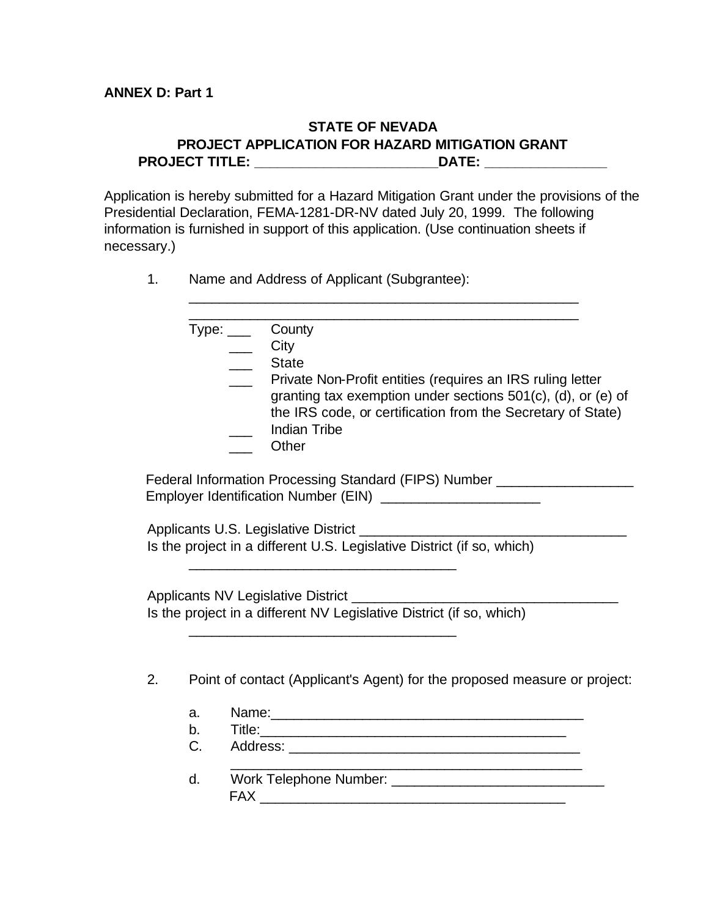#### **STATE OF NEVADA PROJECT APPLICATION FOR HAZARD MITIGATION GRANT PROJECT TITLE: \_\_\_\_\_\_\_\_\_\_\_\_\_\_\_\_\_\_\_\_\_\_\_\_DATE: \_\_\_\_\_\_\_\_\_\_\_\_\_\_\_\_**

Application is hereby submitted for a Hazard Mitigation Grant under the provisions of the Presidential Declaration, FEMA-1281-DR-NV dated July 20, 1999. The following information is furnished in support of this application. (Use continuation sheets if necessary.)

\_\_\_\_\_\_\_\_\_\_\_\_\_\_\_\_\_\_\_\_\_\_\_\_\_\_\_\_\_\_\_\_\_\_\_\_\_\_\_\_\_\_\_\_\_\_\_\_\_\_\_

1. Name and Address of Applicant (Subgrantee):

|    |    | Type: _____ County                                                         |
|----|----|----------------------------------------------------------------------------|
|    |    | City                                                                       |
|    |    | <b>State</b>                                                               |
|    |    | Private Non-Profit entities (requires an IRS ruling letter                 |
|    |    | granting tax exemption under sections 501(c), (d), or (e) of               |
|    |    | the IRS code, or certification from the Secretary of State)                |
|    |    | <b>Indian Tribe</b>                                                        |
|    |    | Other                                                                      |
|    |    | Federal Information Processing Standard (FIPS) Number ____________________ |
|    |    |                                                                            |
|    |    |                                                                            |
|    |    |                                                                            |
|    |    | Is the project in a different U.S. Legislative District (if so, which)     |
|    |    |                                                                            |
|    |    |                                                                            |
|    |    |                                                                            |
|    |    | Is the project in a different NV Legislative District (if so, which)       |
|    |    |                                                                            |
|    |    |                                                                            |
| 2. |    | Point of contact (Applicant's Agent) for the proposed measure or project:  |
|    |    |                                                                            |
|    | a. |                                                                            |
|    | b. |                                                                            |
|    | C. |                                                                            |
|    | d. |                                                                            |
|    |    | <b>FAX</b>                                                                 |
|    |    |                                                                            |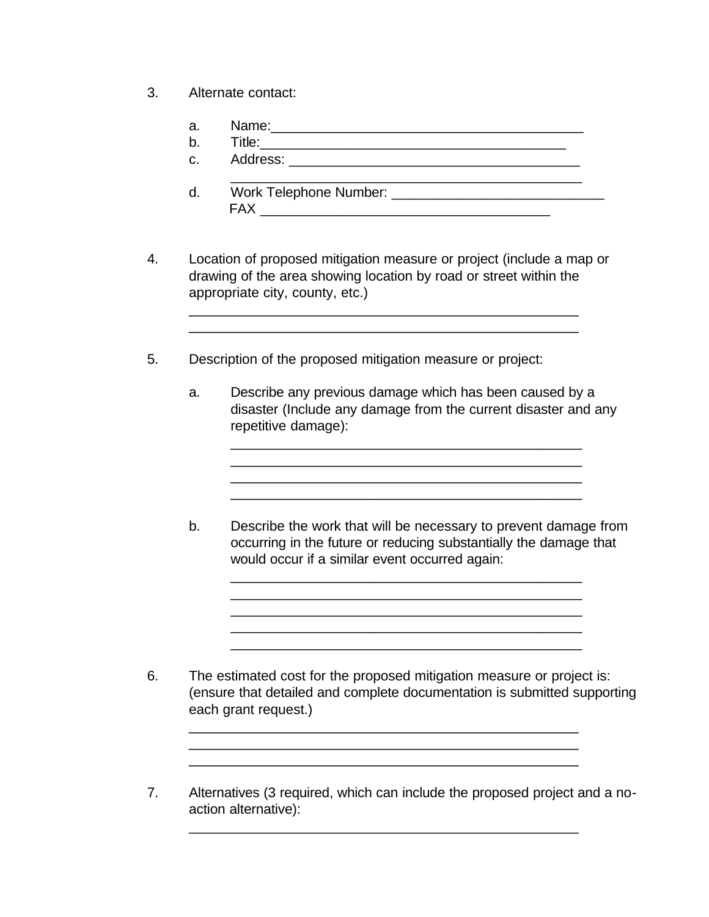- 3. Alternate contact:
	- a. Name:\_\_\_\_\_\_\_\_\_\_\_\_\_\_\_\_\_\_\_\_\_\_\_\_\_\_\_\_\_\_\_\_\_\_\_\_\_\_\_\_\_
	- b. Title:\_\_\_\_\_\_\_\_\_\_\_\_\_\_\_\_\_\_\_\_\_\_\_\_\_\_\_\_\_\_\_\_\_\_\_\_\_\_\_\_
	- c. Address: \_\_\_\_\_\_\_\_\_\_\_\_\_\_\_\_\_\_\_\_\_\_\_\_\_\_\_\_\_\_\_\_\_\_\_\_\_\_
	- $\mathcal{L}_\text{max} = \frac{1}{2} \sum_{i=1}^n \frac{1}{2} \sum_{i=1}^n \frac{1}{2} \sum_{i=1}^n \frac{1}{2} \sum_{i=1}^n \frac{1}{2} \sum_{i=1}^n \frac{1}{2} \sum_{i=1}^n \frac{1}{2} \sum_{i=1}^n \frac{1}{2} \sum_{i=1}^n \frac{1}{2} \sum_{i=1}^n \frac{1}{2} \sum_{i=1}^n \frac{1}{2} \sum_{i=1}^n \frac{1}{2} \sum_{i=1}^n \frac{1}{2} \sum_{i=1}^n$ d. Work Telephone Number: FAX \_\_\_\_\_\_\_\_\_\_\_\_\_\_\_\_\_\_\_\_\_\_\_\_\_\_\_\_\_\_\_\_\_\_\_\_\_\_
- 4. Location of proposed mitigation measure or project (include a map or drawing of the area showing location by road or street within the appropriate city, county, etc.)

\_\_\_\_\_\_\_\_\_\_\_\_\_\_\_\_\_\_\_\_\_\_\_\_\_\_\_\_\_\_\_\_\_\_\_\_\_\_\_\_\_\_\_\_\_\_\_\_\_\_\_ \_\_\_\_\_\_\_\_\_\_\_\_\_\_\_\_\_\_\_\_\_\_\_\_\_\_\_\_\_\_\_\_\_\_\_\_\_\_\_\_\_\_\_\_\_\_\_\_\_\_\_

- 5. Description of the proposed mitigation measure or project:
	- a. Describe any previous damage which has been caused by a disaster (Include any damage from the current disaster and any repetitive damage):

\_\_\_\_\_\_\_\_\_\_\_\_\_\_\_\_\_\_\_\_\_\_\_\_\_\_\_\_\_\_\_\_\_\_\_\_\_\_\_\_\_\_\_\_\_\_ \_\_\_\_\_\_\_\_\_\_\_\_\_\_\_\_\_\_\_\_\_\_\_\_\_\_\_\_\_\_\_\_\_\_\_\_\_\_\_\_\_\_\_\_\_\_ \_\_\_\_\_\_\_\_\_\_\_\_\_\_\_\_\_\_\_\_\_\_\_\_\_\_\_\_\_\_\_\_\_\_\_\_\_\_\_\_\_\_\_\_\_\_

\_\_\_\_\_\_\_\_\_\_\_\_\_\_\_\_\_\_\_\_\_\_\_\_\_\_\_\_\_\_\_\_\_\_\_\_\_\_\_\_\_\_\_\_\_\_

b. Describe the work that will be necessary to prevent damage from occurring in the future or reducing substantially the damage that would occur if a similar event occurred again:

\_\_\_\_\_\_\_\_\_\_\_\_\_\_\_\_\_\_\_\_\_\_\_\_\_\_\_\_\_\_\_\_\_\_\_\_\_\_\_\_\_\_\_\_\_\_ \_\_\_\_\_\_\_\_\_\_\_\_\_\_\_\_\_\_\_\_\_\_\_\_\_\_\_\_\_\_\_\_\_\_\_\_\_\_\_\_\_\_\_\_\_\_ \_\_\_\_\_\_\_\_\_\_\_\_\_\_\_\_\_\_\_\_\_\_\_\_\_\_\_\_\_\_\_\_\_\_\_\_\_\_\_\_\_\_\_\_\_\_ \_\_\_\_\_\_\_\_\_\_\_\_\_\_\_\_\_\_\_\_\_\_\_\_\_\_\_\_\_\_\_\_\_\_\_\_\_\_\_\_\_\_\_\_\_\_ \_\_\_\_\_\_\_\_\_\_\_\_\_\_\_\_\_\_\_\_\_\_\_\_\_\_\_\_\_\_\_\_\_\_\_\_\_\_\_\_\_\_\_\_\_\_

6. The estimated cost for the proposed mitigation measure or project is: (ensure that detailed and complete documentation is submitted supporting each grant request.)

\_\_\_\_\_\_\_\_\_\_\_\_\_\_\_\_\_\_\_\_\_\_\_\_\_\_\_\_\_\_\_\_\_\_\_\_\_\_\_\_\_\_\_\_\_\_\_\_\_\_\_ \_\_\_\_\_\_\_\_\_\_\_\_\_\_\_\_\_\_\_\_\_\_\_\_\_\_\_\_\_\_\_\_\_\_\_\_\_\_\_\_\_\_\_\_\_\_\_\_\_\_\_

7. Alternatives (3 required, which can include the proposed project and a noaction alternative):

\_\_\_\_\_\_\_\_\_\_\_\_\_\_\_\_\_\_\_\_\_\_\_\_\_\_\_\_\_\_\_\_\_\_\_\_\_\_\_\_\_\_\_\_\_\_\_\_\_\_\_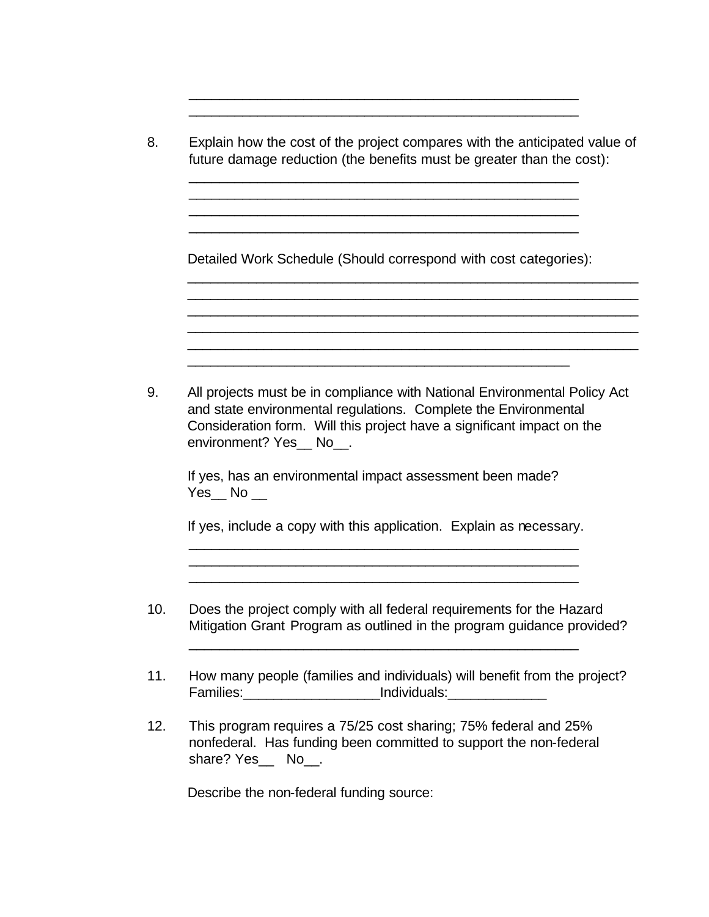| 8.  | Explain how the cost of the project compares with the anticipated value of<br>future damage reduction (the benefits must be greater than the cost):                                                                                             |
|-----|-------------------------------------------------------------------------------------------------------------------------------------------------------------------------------------------------------------------------------------------------|
|     | Detailed Work Schedule (Should correspond with cost categories):                                                                                                                                                                                |
|     |                                                                                                                                                                                                                                                 |
| 9.  | All projects must be in compliance with National Environmental Policy Act<br>and state environmental regulations. Complete the Environmental<br>Consideration form. Will this project have a significant impact on the<br>environment? Yes_No_. |
|     | If yes, has an environmental impact assessment been made?<br>$Yes$ <sub><math>\_\</math></sub> No $\_\_$                                                                                                                                        |
|     | If yes, include a copy with this application. Explain as necessary.                                                                                                                                                                             |
| 10. | Does the project comply with all federal requirements for the Hazard<br>Mitigation Grant Program as outlined in the program guidance provided?                                                                                                  |
| 11. | How many people (families and individuals) will benefit from the project?<br>Families: ____________________________Individuals: _____________________________                                                                                   |
| 12. | This program requires a 75/25 cost sharing; 75% federal and 25%<br>nonfederal. Has funding been committed to support the non-federal<br>share? Yes No                                                                                           |

\_\_\_\_\_\_\_\_\_\_\_\_\_\_\_\_\_\_\_\_\_\_\_\_\_\_\_\_\_\_\_\_\_\_\_\_\_\_\_\_\_\_\_\_\_\_\_\_\_\_\_ \_\_\_\_\_\_\_\_\_\_\_\_\_\_\_\_\_\_\_\_\_\_\_\_\_\_\_\_\_\_\_\_\_\_\_\_\_\_\_\_\_\_\_\_\_\_\_\_\_\_\_

Describe the non-federal funding source: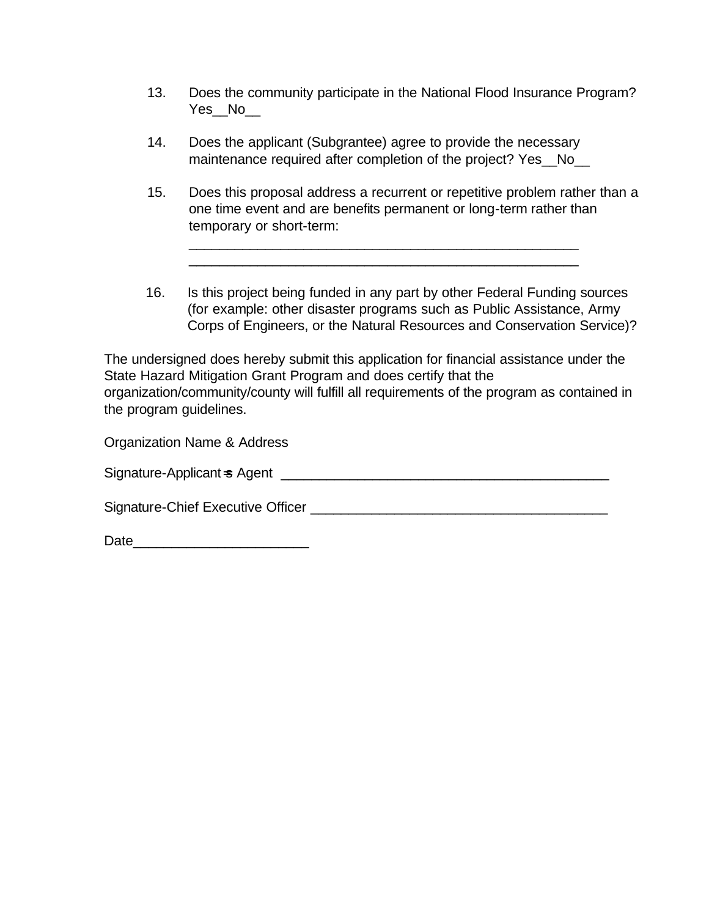- 13. Does the community participate in the National Flood Insurance Program? Yes\_No
- 14. Does the applicant (Subgrantee) agree to provide the necessary maintenance required after completion of the project? Yes No
- 15. Does this proposal address a recurrent or repetitive problem rather than a one time event and are benefits permanent or long-term rather than temporary or short-term:

\_\_\_\_\_\_\_\_\_\_\_\_\_\_\_\_\_\_\_\_\_\_\_\_\_\_\_\_\_\_\_\_\_\_\_\_\_\_\_\_\_\_\_\_\_\_\_\_\_\_\_ \_\_\_\_\_\_\_\_\_\_\_\_\_\_\_\_\_\_\_\_\_\_\_\_\_\_\_\_\_\_\_\_\_\_\_\_\_\_\_\_\_\_\_\_\_\_\_\_\_\_\_

16. Is this project being funded in any part by other Federal Funding sources (for example: other disaster programs such as Public Assistance, Army Corps of Engineers, or the Natural Resources and Conservation Service)?

The undersigned does hereby submit this application for financial assistance under the State Hazard Mitigation Grant Program and does certify that the organization/community/county will fulfill all requirements of the program as contained in the program guidelines.

| Organization Name & Address       |
|-----------------------------------|
| Signature-Applicant ⇒ Agent       |
| Signature-Chief Executive Officer |
| Date                              |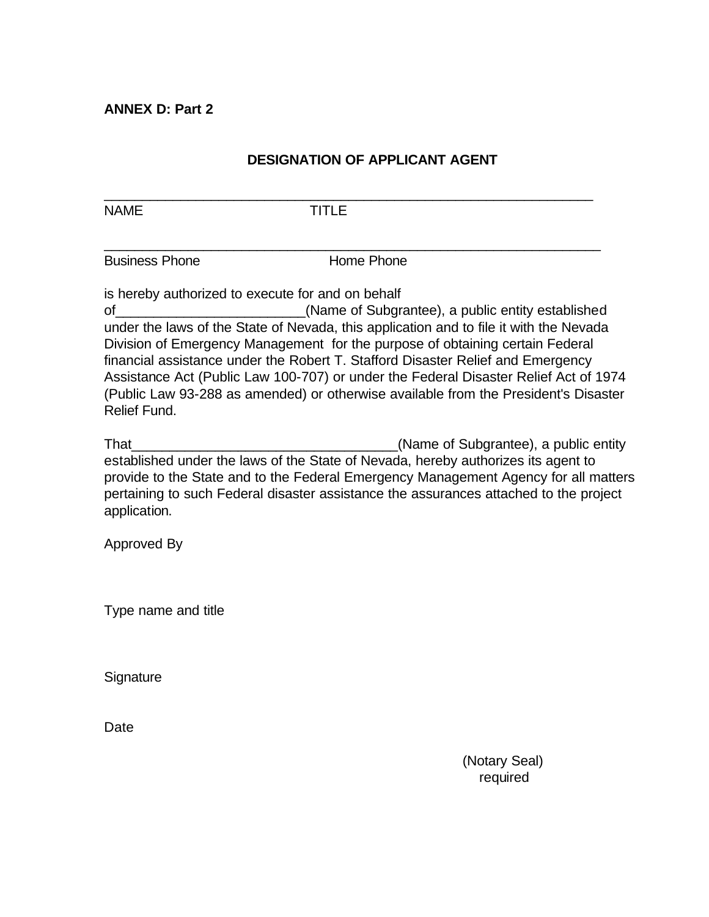**ANNEX D: Part 2**

#### **DESIGNATION OF APPLICANT AGENT**

NAME TITLE

\_\_\_\_\_\_\_\_\_\_\_\_\_\_\_\_\_\_\_\_\_\_\_\_\_\_\_\_\_\_\_\_\_\_\_\_\_\_\_\_\_\_\_\_\_\_\_\_\_\_\_\_\_\_\_\_\_\_\_\_\_\_\_\_

 $\_$  , and the set of the set of the set of the set of the set of the set of the set of the set of the set of the set of the set of the set of the set of the set of the set of the set of the set of the set of the set of th

Business Phone **Home Phone** 

is hereby authorized to execute for and on behalf

of\_\_\_\_\_\_\_\_\_\_\_\_\_\_\_\_\_\_\_\_\_\_\_\_\_(Name of Subgrantee), a public entity established under the laws of the State of Nevada, this application and to file it with the Nevada Division of Emergency Management for the purpose of obtaining certain Federal financial assistance under the Robert T. Stafford Disaster Relief and Emergency Assistance Act (Public Law 100-707) or under the Federal Disaster Relief Act of 1974 (Public Law 93-288 as amended) or otherwise available from the President's Disaster Relief Fund.

That\_\_\_\_\_\_\_\_\_\_\_\_\_\_\_\_\_\_\_\_\_\_\_\_\_\_\_\_\_\_\_\_\_\_\_(Name of Subgrantee), a public entity established under the laws of the State of Nevada, hereby authorizes its agent to provide to the State and to the Federal Emergency Management Agency for all matters pertaining to such Federal disaster assistance the assurances attached to the project application.

Approved By

Type name and title

**Signature** 

Date

 (Notary Seal) required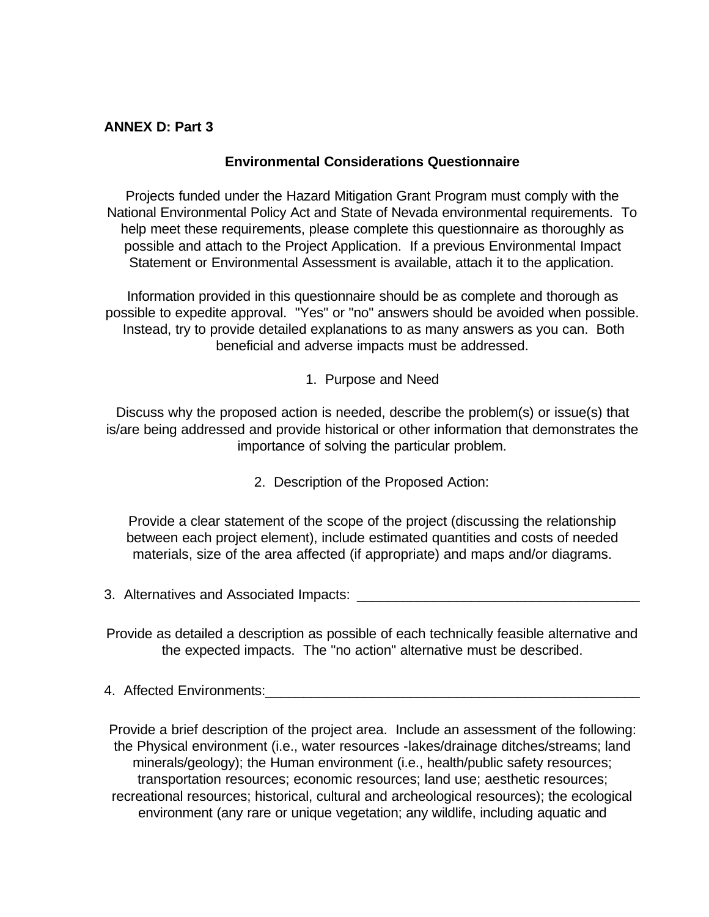#### **ANNEX D: Part 3**

#### **Environmental Considerations Questionnaire**

Projects funded under the Hazard Mitigation Grant Program must comply with the National Environmental Policy Act and State of Nevada environmental requirements. To help meet these requirements, please complete this questionnaire as thoroughly as possible and attach to the Project Application. If a previous Environmental Impact Statement or Environmental Assessment is available, attach it to the application.

Information provided in this questionnaire should be as complete and thorough as possible to expedite approval. "Yes" or "no" answers should be avoided when possible. Instead, try to provide detailed explanations to as many answers as you can. Both beneficial and adverse impacts must be addressed.

1. Purpose and Need

Discuss why the proposed action is needed, describe the problem(s) or issue(s) that is/are being addressed and provide historical or other information that demonstrates the importance of solving the particular problem.

2. Description of the Proposed Action:

Provide a clear statement of the scope of the project (discussing the relationship between each project element), include estimated quantities and costs of needed materials, size of the area affected (if appropriate) and maps and/or diagrams.

3. Alternatives and Associated Impacts:

Provide as detailed a description as possible of each technically feasible alternative and the expected impacts. The "no action" alternative must be described.

4. Affected Environments:  $\overline{a}$ 

Provide a brief description of the project area. Include an assessment of the following: the Physical environment (i.e., water resources -lakes/drainage ditches/streams; land minerals/geology); the Human environment (i.e., health/public safety resources; transportation resources; economic resources; land use; aesthetic resources; recreational resources; historical, cultural and archeological resources); the ecological environment (any rare or unique vegetation; any wildlife, including aquatic and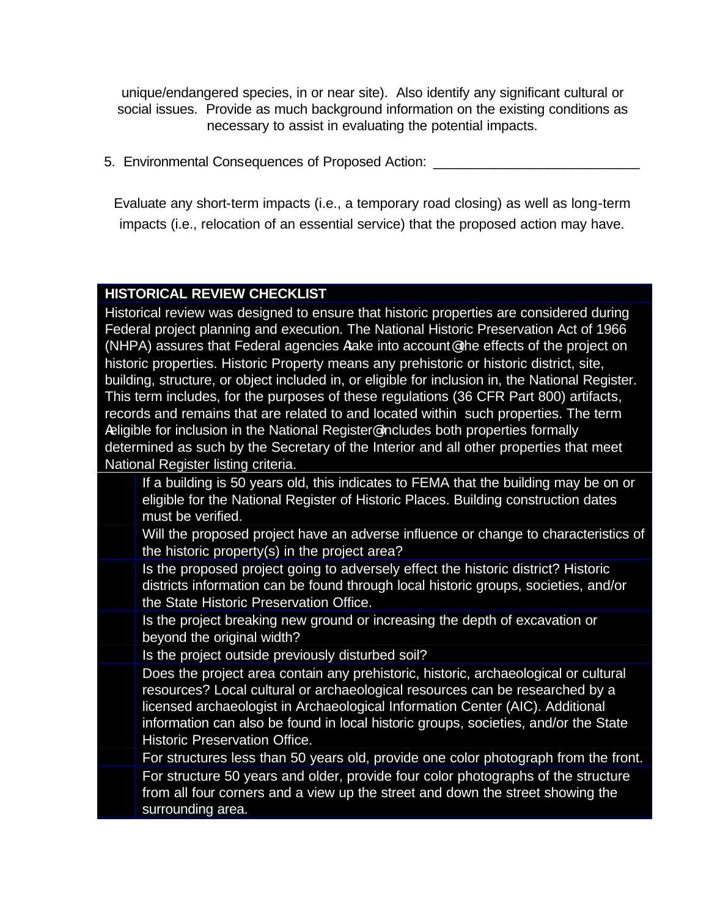unique/endangered species, in or near site). Also identify any significant cultural or social issues. Provide as much background information on the existing conditions as necessary to assist in evaluating the potential impacts.

5. Environmental Consequences of Proposed Action:

Evaluate any short-term impacts (i.e., a temporary road closing) as well as long-term impacts (i.e., relocation of an essential service) that the proposed action may have.

#### **HISTORICAL REVIEW CHECKLIST**

Historical review was designed to ensure that historic properties are considered during Federal project planning and execution. The National Historic Preservation Act of 1966 (NHPA) assures that Federal agencies Atake into account@ the effects of the project on historic properties. Historic Property means any prehistoric or historic district, site, building, structure, or object included in, or eligible for inclusion in, the National Register. This term includes, for the purposes of these regulations (36 CFR Part 800) artifacts, records and remains that are related to and located within such properties. The term Aeligible for inclusion in the National Register@ includes both properties formally determined as such by the Secretary of the Interior and all other properties that meet National Register listing criteria.

- If a building is 50 years old, this indicates to FEMA that the building may be on or eligible for the National Register of Historic Places. Building construction dates must be verified.
- Will the proposed project have an adverse influence or change to characteristics of the historic property(s) in the project area?
- Is the proposed project going to adversely effect the historic district? Historic districts information can be found through local historic groups, societies, and/or the State Historic Preservation Office.
- Is the project breaking new ground or increasing the depth of excavation or beyond the original width?
- Is the project outside previously disturbed soil?
- Does the project area contain any prehistoric, historic, archaeological or cultural resources? Local cultural or archaeological resources can be researched by a licensed archaeologist in Archaeological Information Center (AIC). Additional information can also be found in local historic groups, societies, and/or the State Historic Preservation Office.
- For structures less than 50 years old, provide one color photograph from the front. For structure 50 years and older, provide four color photographs of the structure from all four corners and a view up the street and down the street showing the surrounding area.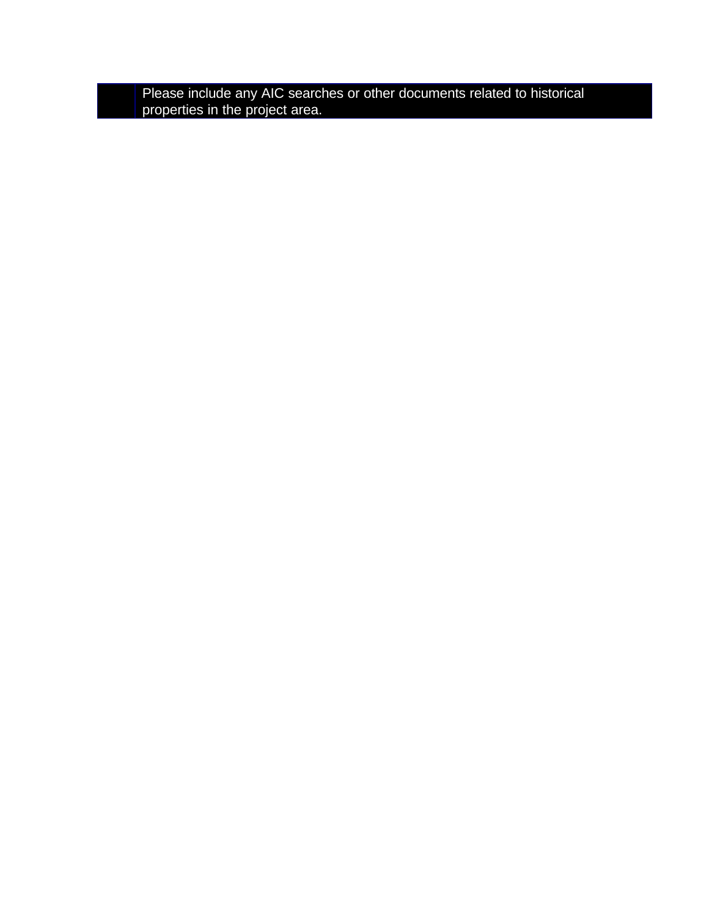Please include any AIC searches or other documents related to historical properties in the project area.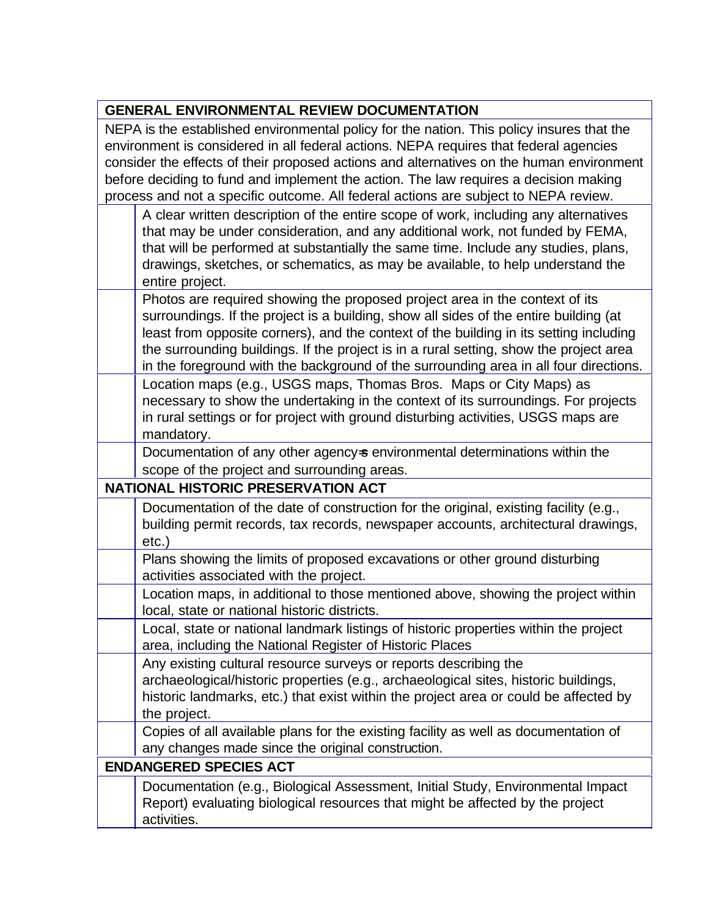| <b>GENERAL ENVIRONMENTAL REVIEW DOCUMENTATION</b>                                                                                                                                                                                                                                                                                                                                                                                                             |
|---------------------------------------------------------------------------------------------------------------------------------------------------------------------------------------------------------------------------------------------------------------------------------------------------------------------------------------------------------------------------------------------------------------------------------------------------------------|
| NEPA is the established environmental policy for the nation. This policy insures that the<br>environment is considered in all federal actions. NEPA requires that federal agencies<br>consider the effects of their proposed actions and alternatives on the human environment<br>before deciding to fund and implement the action. The law requires a decision making<br>process and not a specific outcome. All federal actions are subject to NEPA review. |
| A clear written description of the entire scope of work, including any alternatives<br>that may be under consideration, and any additional work, not funded by FEMA,<br>that will be performed at substantially the same time. Include any studies, plans,<br>drawings, sketches, or schematics, as may be available, to help understand the<br>entire project.                                                                                               |
| Photos are required showing the proposed project area in the context of its<br>surroundings. If the project is a building, show all sides of the entire building (at<br>least from opposite corners), and the context of the building in its setting including<br>the surrounding buildings. If the project is in a rural setting, show the project area<br>in the foreground with the background of the surrounding area in all four directions.             |
| Location maps (e.g., USGS maps, Thomas Bros. Maps or City Maps) as<br>necessary to show the undertaking in the context of its surroundings. For projects<br>in rural settings or for project with ground disturbing activities, USGS maps are<br>mandatory.                                                                                                                                                                                                   |
| Documentation of any other agency=s environmental determinations within the<br>scope of the project and surrounding areas.                                                                                                                                                                                                                                                                                                                                    |
| <b>NATIONAL HISTORIC PRESERVATION ACT</b>                                                                                                                                                                                                                                                                                                                                                                                                                     |
| Documentation of the date of construction for the original, existing facility (e.g.,<br>building permit records, tax records, newspaper accounts, architectural drawings,<br>$etc.$ )                                                                                                                                                                                                                                                                         |
| Plans showing the limits of proposed excavations or other ground disturbing<br>activities associated with the project.                                                                                                                                                                                                                                                                                                                                        |
| Location maps, in additional to those mentioned above, showing the project within<br>local, state or national historic districts.                                                                                                                                                                                                                                                                                                                             |
| Local, state or national landmark listings of historic properties within the project<br>area, including the National Register of Historic Places                                                                                                                                                                                                                                                                                                              |
| Any existing cultural resource surveys or reports describing the<br>archaeological/historic properties (e.g., archaeological sites, historic buildings,<br>historic landmarks, etc.) that exist within the project area or could be affected by<br>the project.                                                                                                                                                                                               |
| Copies of all available plans for the existing facility as well as documentation of<br>any changes made since the original construction.                                                                                                                                                                                                                                                                                                                      |
| <b>ENDANGERED SPECIES ACT</b>                                                                                                                                                                                                                                                                                                                                                                                                                                 |
| Documentation (e.g., Biological Assessment, Initial Study, Environmental Impact<br>Report) evaluating biological resources that might be affected by the project<br>activities.                                                                                                                                                                                                                                                                               |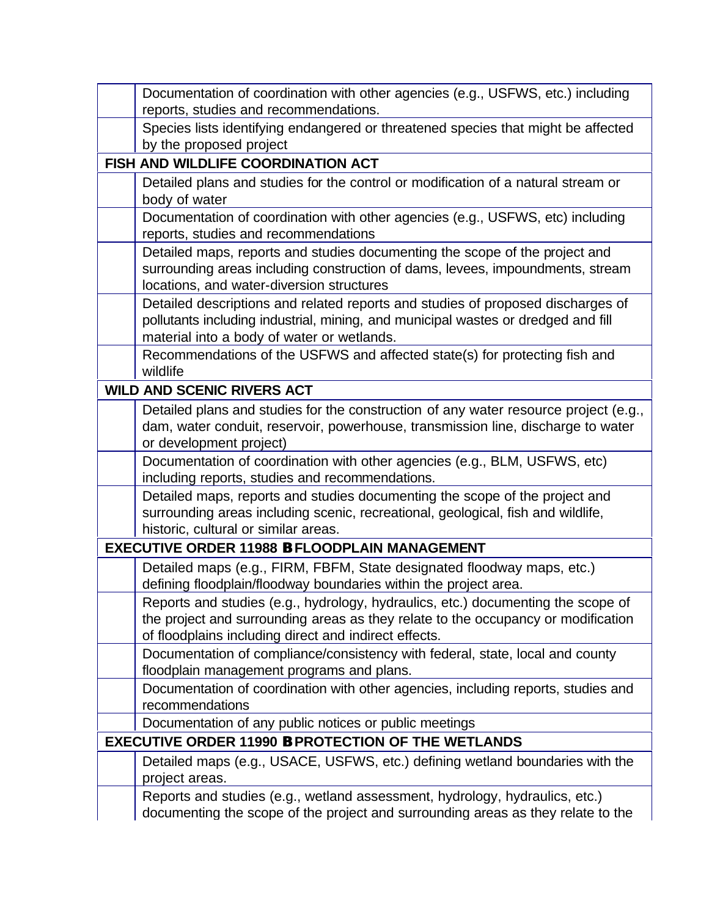| Documentation of coordination with other agencies (e.g., USFWS, etc.) including<br>reports, studies and recommendations.                                                                                                       |
|--------------------------------------------------------------------------------------------------------------------------------------------------------------------------------------------------------------------------------|
| Species lists identifying endangered or threatened species that might be affected<br>by the proposed project                                                                                                                   |
| FISH AND WILDLIFE COORDINATION ACT                                                                                                                                                                                             |
| Detailed plans and studies for the control or modification of a natural stream or<br>body of water                                                                                                                             |
| Documentation of coordination with other agencies (e.g., USFWS, etc) including<br>reports, studies and recommendations                                                                                                         |
| Detailed maps, reports and studies documenting the scope of the project and<br>surrounding areas including construction of dams, levees, impoundments, stream<br>locations, and water-diversion structures                     |
| Detailed descriptions and related reports and studies of proposed discharges of<br>pollutants including industrial, mining, and municipal wastes or dredged and fill<br>material into a body of water or wetlands.             |
| Recommendations of the USFWS and affected state(s) for protecting fish and<br>wildlife                                                                                                                                         |
| <b>WILD AND SCENIC RIVERS ACT</b>                                                                                                                                                                                              |
| Detailed plans and studies for the construction of any water resource project (e.g.,<br>dam, water conduit, reservoir, powerhouse, transmission line, discharge to water<br>or development project)                            |
| Documentation of coordination with other agencies (e.g., BLM, USFWS, etc)<br>including reports, studies and recommendations.                                                                                                   |
| Detailed maps, reports and studies documenting the scope of the project and<br>surrounding areas including scenic, recreational, geological, fish and wildlife,<br>historic, cultural or similar areas.                        |
| <b>EXECUTIVE ORDER 11988 B FLOODPLAIN MANAGEMENT</b>                                                                                                                                                                           |
| Detailed maps (e.g., FIRM, FBFM, State designated floodway maps, etc.)<br>defining floodplain/floodway boundaries within the project area.                                                                                     |
| Reports and studies (e.g., hydrology, hydraulics, etc.) documenting the scope of<br>the project and surrounding areas as they relate to the occupancy or modification<br>of floodplains including direct and indirect effects. |
| Documentation of compliance/consistency with federal, state, local and county<br>floodplain management programs and plans.                                                                                                     |
| Documentation of coordination with other agencies, including reports, studies and<br>recommendations                                                                                                                           |
| Documentation of any public notices or public meetings                                                                                                                                                                         |
| <b>EXECUTIVE ORDER 11990 B PROTECTION OF THE WETLANDS</b>                                                                                                                                                                      |
| Detailed maps (e.g., USACE, USFWS, etc.) defining wetland boundaries with the<br>project areas.                                                                                                                                |
| Reports and studies (e.g., wetland assessment, hydrology, hydraulics, etc.)<br>documenting the scope of the project and surrounding areas as they relate to the                                                                |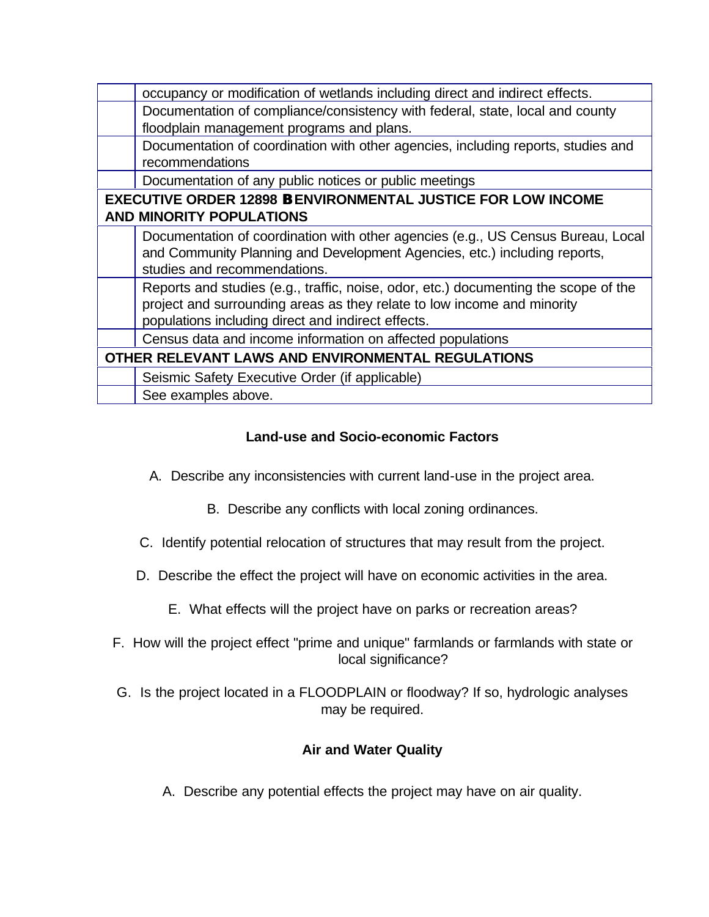| occupancy or modification of wetlands including direct and indirect effects.        |
|-------------------------------------------------------------------------------------|
|                                                                                     |
| Documentation of compliance/consistency with federal, state, local and county       |
| floodplain management programs and plans.                                           |
| Documentation of coordination with other agencies, including reports, studies and   |
| recommendations                                                                     |
| Documentation of any public notices or public meetings                              |
| <b>EXECUTIVE ORDER 12898 B ENVIRONMENTAL JUSTICE FOR LOW INCOME</b>                 |
| <b>AND MINORITY POPULATIONS</b>                                                     |
| Documentation of coordination with other agencies (e.g., US Census Bureau, Local    |
| and Community Planning and Development Agencies, etc.) including reports,           |
| studies and recommendations.                                                        |
| Reports and studies (e.g., traffic, noise, odor, etc.) documenting the scope of the |
| project and surrounding areas as they relate to low income and minority             |
|                                                                                     |
| populations including direct and indirect effects.                                  |
| Census data and income information on affected populations                          |
| OTHER RELEVANT LAWS AND ENVIRONMENTAL REGULATIONS                                   |
| Seismic Safety Executive Order (if applicable)                                      |
| See examples above.                                                                 |

# **Land-use and Socio-economic Factors**

- A. Describe any inconsistencies with current land-use in the project area.
	- B. Describe any conflicts with local zoning ordinances.
- C. Identify potential relocation of structures that may result from the project.
- D. Describe the effect the project will have on economic activities in the area.
	- E. What effects will the project have on parks or recreation areas?
- F. How will the project effect "prime and unique" farmlands or farmlands with state or local significance?
- G. Is the project located in a FLOODPLAIN or floodway? If so, hydrologic analyses may be required.

### **Air and Water Quality**

A. Describe any potential effects the project may have on air quality.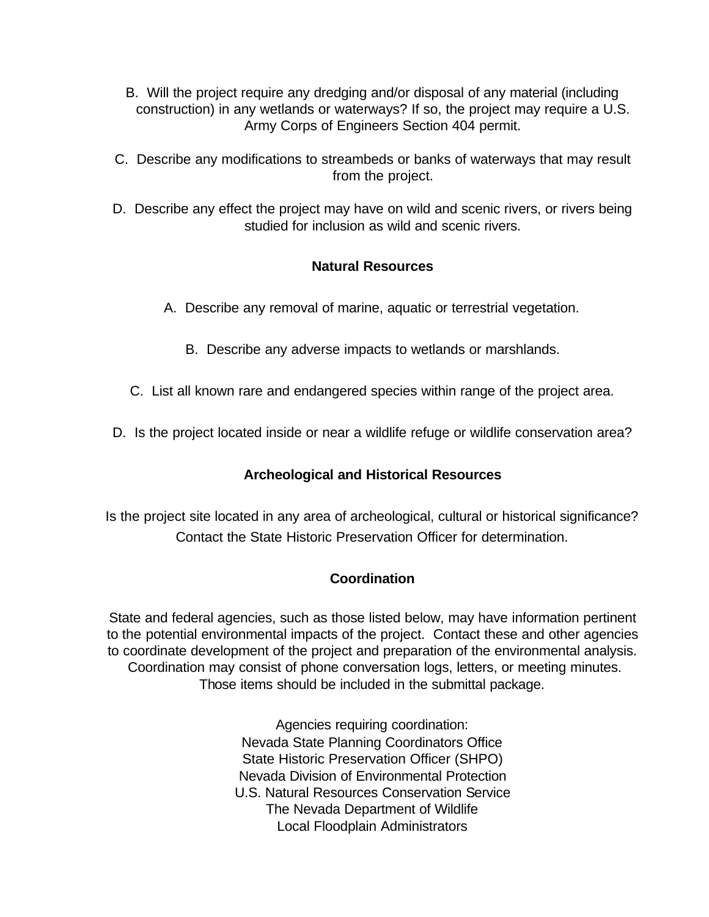- B. Will the project require any dredging and/or disposal of any material (including construction) in any wetlands or waterways? If so, the project may require a U.S. Army Corps of Engineers Section 404 permit.
- C. Describe any modifications to streambeds or banks of waterways that may result from the project.
- D. Describe any effect the project may have on wild and scenic rivers, or rivers being studied for inclusion as wild and scenic rivers.

### **Natural Resources**

- A. Describe any removal of marine, aquatic or terrestrial vegetation.
	- B. Describe any adverse impacts to wetlands or marshlands.
- C. List all known rare and endangered species within range of the project area.
- D. Is the project located inside or near a wildlife refuge or wildlife conservation area?

### **Archeological and Historical Resources**

Is the project site located in any area of archeological, cultural or historical significance? Contact the State Historic Preservation Officer for determination.

#### **Coordination**

State and federal agencies, such as those listed below, may have information pertinent to the potential environmental impacts of the project. Contact these and other agencies to coordinate development of the project and preparation of the environmental analysis. Coordination may consist of phone conversation logs, letters, or meeting minutes. Those items should be included in the submittal package.

> Agencies requiring coordination: Nevada State Planning Coordinators Office State Historic Preservation Officer (SHPO) Nevada Division of Environmental Protection U.S. Natural Resources Conservation Service The Nevada Department of Wildlife Local Floodplain Administrators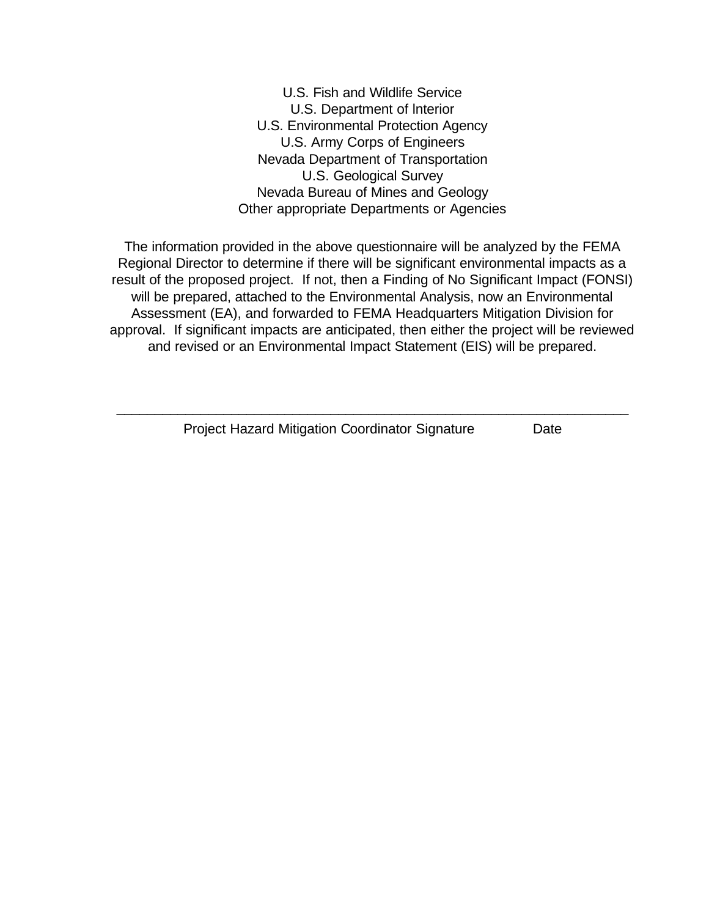U.S. Fish and Wildlife Service U.S. Department of lnterior U.S. Environmental Protection Agency U.S. Army Corps of Engineers Nevada Department of Transportation U.S. Geological Survey Nevada Bureau of Mines and Geology Other appropriate Departments or Agencies

The information provided in the above questionnaire will be analyzed by the FEMA Regional Director to determine if there will be significant environmental impacts as a result of the proposed project. If not, then a Finding of No Significant Impact (FONSI) will be prepared, attached to the Environmental Analysis, now an Environmental Assessment (EA), and forwarded to FEMA Headquarters Mitigation Division for approval. If significant impacts are anticipated, then either the project will be reviewed and revised or an Environmental Impact Statement (EIS) will be prepared.

 $\_$  , and the set of the set of the set of the set of the set of the set of the set of the set of the set of the set of the set of the set of the set of the set of the set of the set of the set of the set of the set of th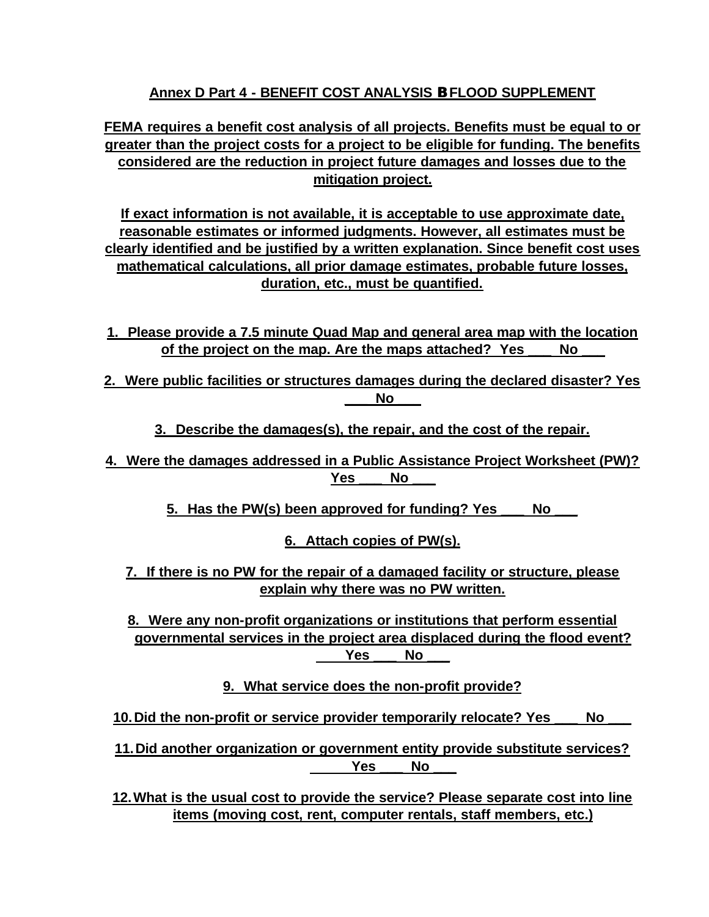# **Annex D Part 4 - BENEFIT COST ANALYSIS B FLOOD SUPPLEMENT**

**FEMA requires a benefit cost analysis of all projects. Benefits must be equal to or greater than the project costs for a project to be eligible for funding. The benefits considered are the reduction in project future damages and losses due to the mitigation project.**

**If exact information is not available, it is acceptable to use approximate date, reasonable estimates or informed judgments. However, all estimates must be clearly identified and be justified by a written explanation. Since benefit cost uses mathematical calculations, all prior damage estimates, probable future losses, duration, etc., must be quantified.**

- **1. Please provide a 7.5 minute Quad Map and general area map with the location of the project on the map. Are the maps attached? Yes \_\_\_ No \_\_\_**
- **2. Were public facilities or structures damages during the declared disaster? Yes \_\_\_ No \_\_\_**
	- **3. Describe the damages(s), the repair, and the cost of the repair.**
- **4. Were the damages addressed in a Public Assistance Project Worksheet (PW)? Yes \_\_\_ No \_\_\_**
	- **5. Has the PW(s) been approved for funding? Yes \_\_\_ No \_\_\_**

**6. Attach copies of PW(s).**

**7. If there is no PW for the repair of a damaged facility or structure, please explain why there was no PW written.**

**8. Were any non-profit organizations or institutions that perform essential governmental services in the project area displaced during the flood event? Yes \_\_\_ No \_\_\_**

**9. What service does the non-profit provide?**

**10.Did the non-profit or service provider temporarily relocate? Yes \_\_\_ No \_\_\_**

**11.Did another organization or government entity provide substitute services? Yes \_\_\_ No \_\_\_**

**12.What is the usual cost to provide the service? Please separate cost into line items (moving cost, rent, computer rentals, staff members, etc.)**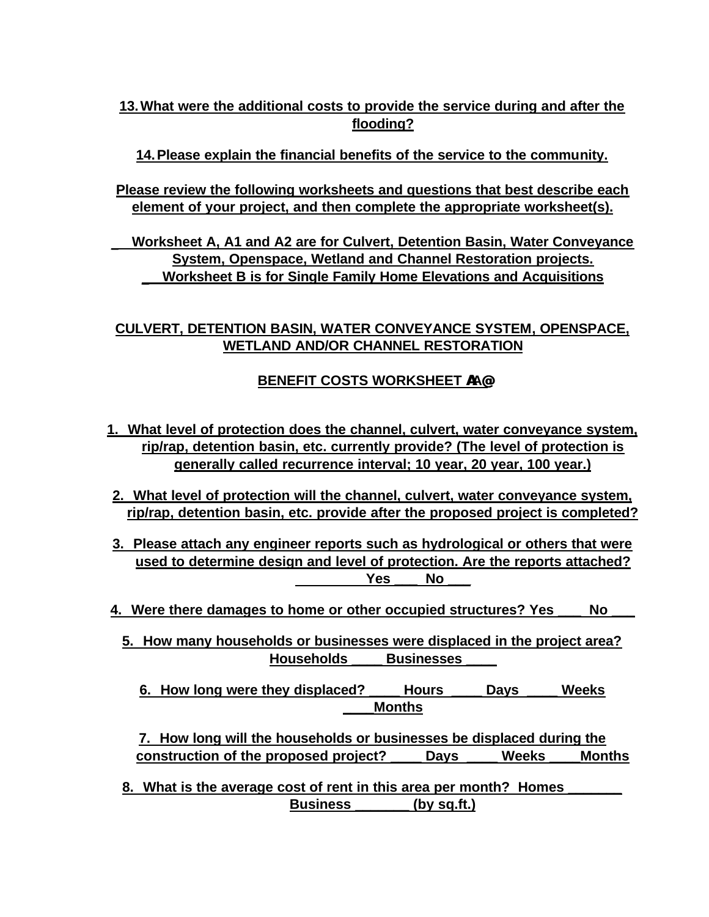# **13.What were the additional costs to provide the service during and after the flooding?**

**14.Please explain the financial benefits of the service to the community.**

**Please review the following worksheets and questions that best describe each element of your project, and then complete the appropriate worksheet(s).**

**\_ Worksheet A, A1 and A2 are for Culvert, Detention Basin, Water Conveyance System, Openspace, Wetland and Channel Restoration projects. \_ Worksheet B is for Single Family Home Elevations and Acquisitions**

# **CULVERT, DETENTION BASIN, WATER CONVEYANCE SYSTEM, OPENSPACE, WETLAND AND/OR CHANNEL RESTORATION**

# **BENEFIT COSTS WORKSHEET AA@**

- **1. What level of protection does the channel, culvert, water conveyance system, rip/rap, detention basin, etc. currently provide? (The level of protection is generally called recurrence interval; 10 year, 20 year, 100 year.)**
- **2. What level of protection will the channel, culvert, water conveyance system, rip/rap, detention basin, etc. provide after the proposed project is completed?**
- **3. Please attach any engineer reports such as hydrological or others that were used to determine design and level of protection. Are the reports attached? Yes \_\_\_ No \_\_\_**
- **4. Were there damages to home or other occupied structures? Yes \_\_\_ No \_\_\_**
	- **5. How many households or businesses were displaced in the project area? Households \_\_\_\_ Businesses \_\_\_\_**
		- **6. How long were they displaced? \_\_\_\_ Hours \_\_\_\_ Days \_\_\_\_ Weeks \_\_\_\_Months**

**7. How long will the households or businesses be displaced during the construction of the proposed project? \_\_\_\_ Days \_\_\_\_ Weeks \_\_\_\_Months**

**8. What is the average cost of rent in this area per month? Homes \_\_\_\_\_\_\_ Business \_\_\_\_\_\_\_ (by sq.ft.)**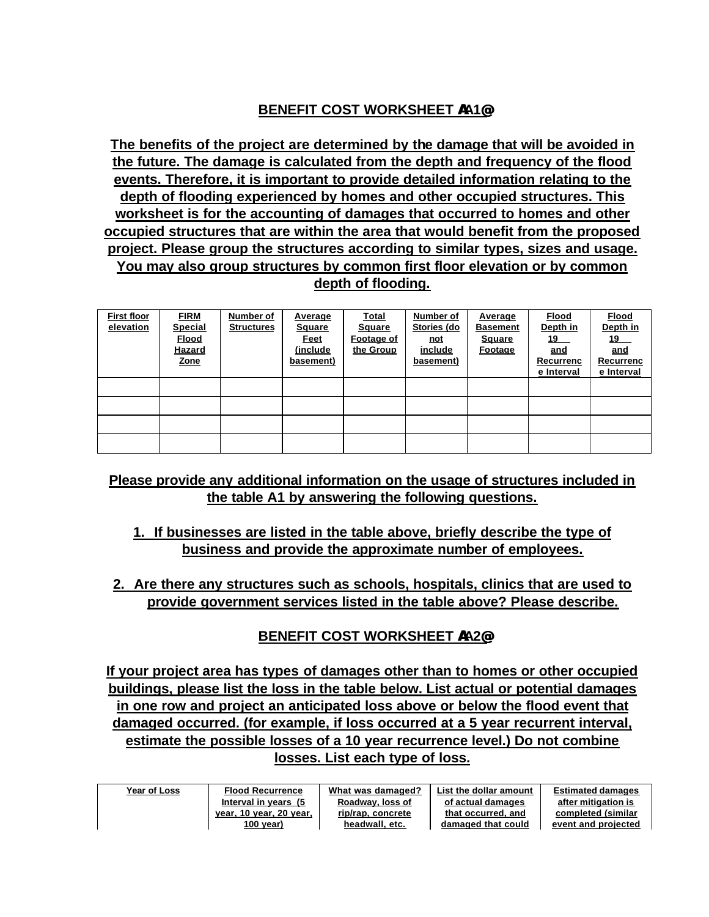# **BENEFIT COST WORKSHEET AA1@**

**The benefits of the project are determined by the damage that will be avoided in the future. The damage is calculated from the depth and frequency of the flood events. Therefore, it is important to provide detailed information relating to the depth of flooding experienced by homes and other occupied structures. This worksheet is for the accounting of damages that occurred to homes and other occupied structures that are within the area that would benefit from the proposed project. Please group the structures according to similar types, sizes and usage. You may also group structures by common first floor elevation or by common depth of flooding.**

| <b>First floor</b><br>elevation | <b>FIRM</b><br><b>Special</b><br><b>Flood</b><br><b>Hazard</b><br><b>Zone</b> | <b>Number of</b><br><b>Structures</b> | <b>Average</b><br><b>Square</b><br>Feet<br>(include)<br>basement) | <b>Total</b><br><b>Square</b><br>Footage of<br>the Group | <b>Number of</b><br>Stories (do<br>not<br>include<br>basement) | <b>Average</b><br><b>Basement</b><br>Square<br><b>Footage</b> | <b>Flood</b><br>Depth in<br>19<br>and<br>Recurrenc<br>e Interval | <b>Flood</b><br>Depth in<br>19<br>and<br>Recurrenc<br>e Interval |
|---------------------------------|-------------------------------------------------------------------------------|---------------------------------------|-------------------------------------------------------------------|----------------------------------------------------------|----------------------------------------------------------------|---------------------------------------------------------------|------------------------------------------------------------------|------------------------------------------------------------------|
|                                 |                                                                               |                                       |                                                                   |                                                          |                                                                |                                                               |                                                                  |                                                                  |
|                                 |                                                                               |                                       |                                                                   |                                                          |                                                                |                                                               |                                                                  |                                                                  |
|                                 |                                                                               |                                       |                                                                   |                                                          |                                                                |                                                               |                                                                  |                                                                  |
|                                 |                                                                               |                                       |                                                                   |                                                          |                                                                |                                                               |                                                                  |                                                                  |

# **Please provide any additional information on the usage of structures included in the table A1 by answering the following questions.**

- **1. If businesses are listed in the table above, briefly describe the type of business and provide the approximate number of employees.**
- **2. Are there any structures such as schools, hospitals, clinics that are used to provide government services listed in the table above? Please describe.**

# **BENEFIT COST WORKSHEET AA2@**

**If your project area has types of damages other than to homes or other occupied buildings, please list the loss in the table below. List actual or potential damages in one row and project an anticipated loss above or below the flood event that damaged occurred. (for example, if loss occurred at a 5 year recurrent interval, estimate the possible losses of a 10 year recurrence level.) Do not combine losses. List each type of loss.** 

| <b>Year of Loss</b> | <b>Flood Recurrence</b> | What was damaged? | List the dollar amount | <b>Estimated damages</b> |  |
|---------------------|-------------------------|-------------------|------------------------|--------------------------|--|
|                     | Interval in years (5)   | Roadway, loss of  | of actual damages      | after mitigation is      |  |
|                     | year, 10 year, 20 year, | rip/rap, concrete | that occurred, and     | completed (similar       |  |
|                     | 100 year)               | headwall, etc.    | damaged that could     | event and projected      |  |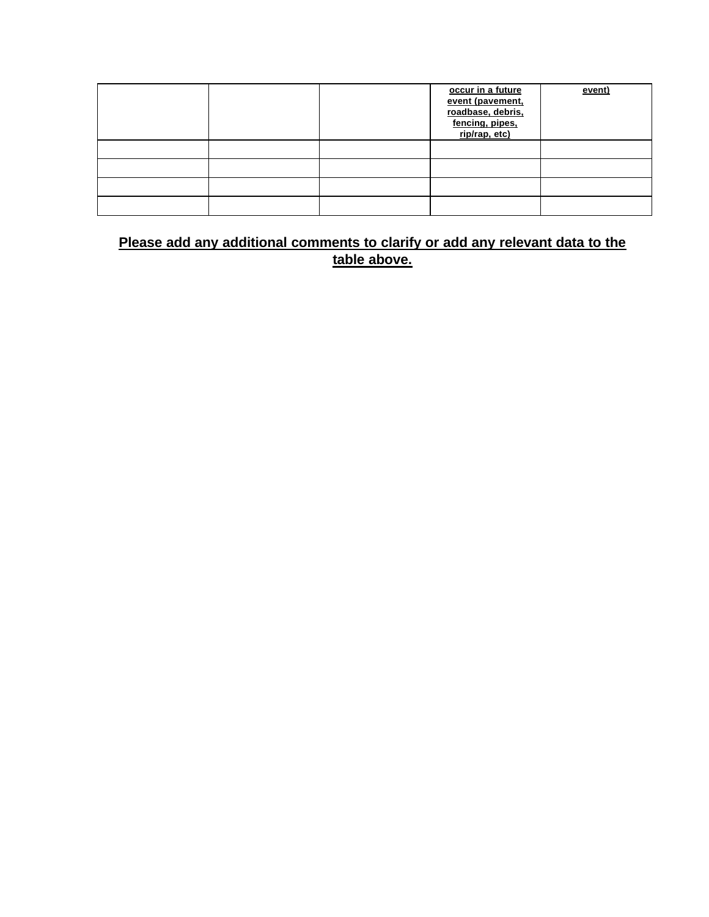|  | occur in a future<br>event (pavement,<br>roadbase, debris,<br>fencing, pipes,<br>rip/rap, etc) | event) |
|--|------------------------------------------------------------------------------------------------|--------|
|  |                                                                                                |        |
|  |                                                                                                |        |
|  |                                                                                                |        |
|  |                                                                                                |        |

# **Please add any additional comments to clarify or add any relevant data to the table above.**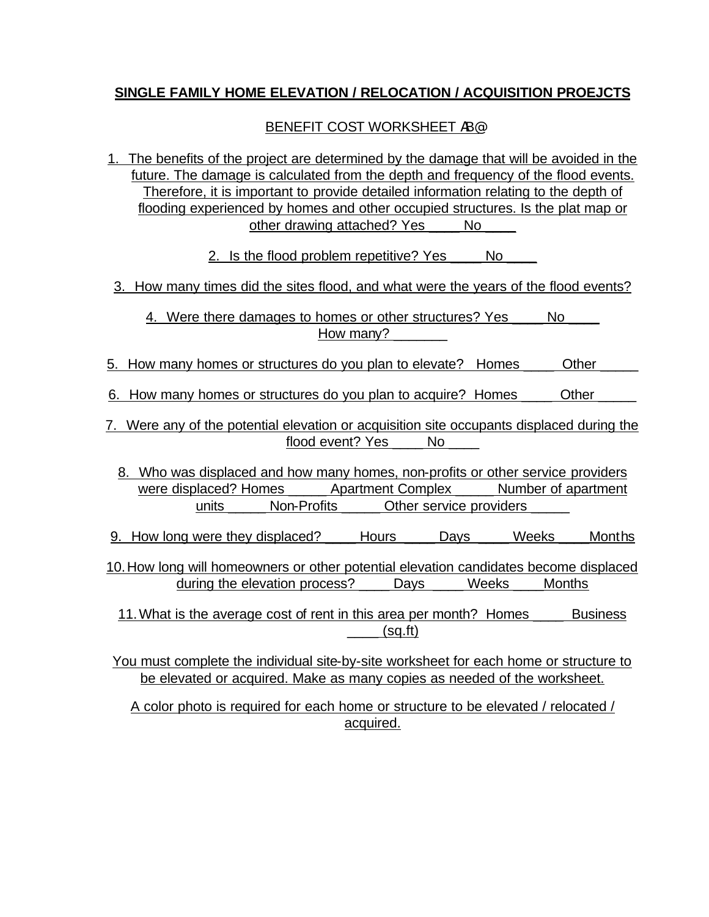### **SINGLE FAMILY HOME ELEVATION / RELOCATION / ACQUISITION PROEJCTS**

#### BENEFIT COST WORKSHEET AB@

1. The benefits of the project are determined by the damage that will be avoided in the future. The damage is calculated from the depth and frequency of the flood events. Therefore, it is important to provide detailed information relating to the depth of flooding experienced by homes and other occupied structures. Is the plat map or other drawing attached? Yes No

2. Is the flood problem repetitive? Yes No

3. How many times did the sites flood, and what were the years of the flood events?

4. Were there damages to homes or other structures? Yes \_\_\_\_\_ No How many?

- 5. How many homes or structures do you plan to elevate? Homes Cther
- 6. How many homes or structures do you plan to acquire? Homes \_\_\_\_\_\_ Other
- 7. Were any of the potential elevation or acquisition site occupants displaced during the flood event? Yes \_\_\_\_ No
	- 8. Who was displaced and how many homes, non-profits or other service providers were displaced? Homes \_\_\_\_\_\_ Apartment Complex \_\_\_\_\_ Number of apartment units \_\_\_\_\_ Non-Profits \_\_\_\_\_ Other service providers
- 9. How long were they displaced? Lours Days Weeks Months
- 10.How long will homeowners or other potential elevation candidates become displaced during the elevation process? \_\_\_\_ Days \_\_\_\_ Weeks \_\_\_\_Months

11.What is the average cost of rent in this area per month? Homes \_\_\_\_ Business  $(sq.fit)$ 

You must complete the individual site-by-site worksheet for each home or structure to be elevated or acquired. Make as many copies as needed of the worksheet.

A color photo is required for each home or structure to be elevated / relocated / acquired.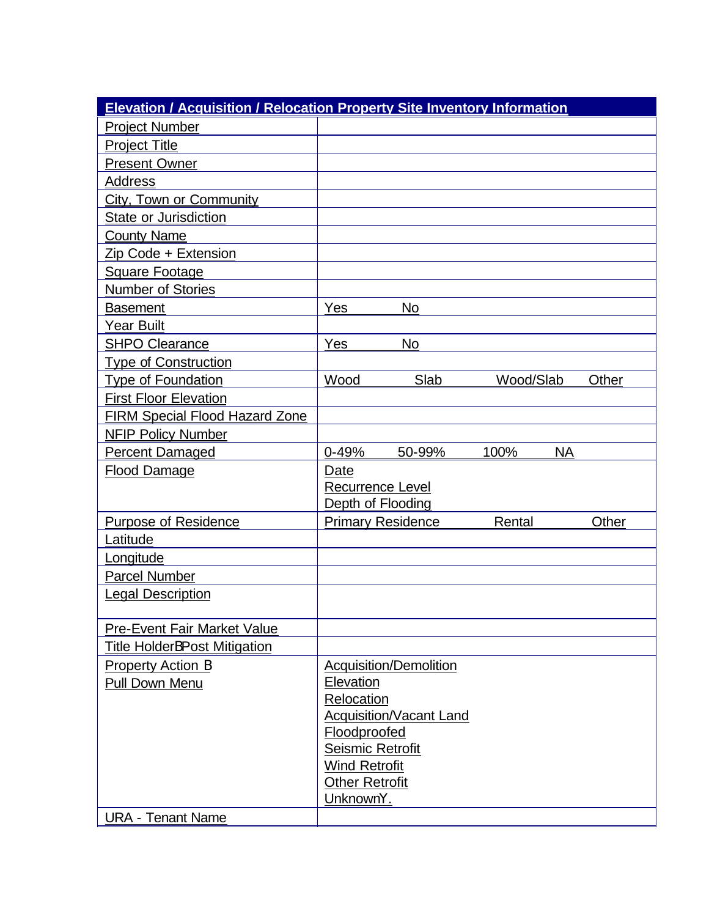| <b>Elevation / Acquisition / Relocation Property Site Inventory Information</b> |                                          |                                |           |           |       |
|---------------------------------------------------------------------------------|------------------------------------------|--------------------------------|-----------|-----------|-------|
| <b>Project Number</b>                                                           |                                          |                                |           |           |       |
| <b>Project Title</b>                                                            |                                          |                                |           |           |       |
| <b>Present Owner</b>                                                            |                                          |                                |           |           |       |
| <b>Address</b>                                                                  |                                          |                                |           |           |       |
| <b>City, Town or Community</b>                                                  |                                          |                                |           |           |       |
| State or Jurisdiction                                                           |                                          |                                |           |           |       |
| <b>County Name</b>                                                              |                                          |                                |           |           |       |
| Zip Code + Extension                                                            |                                          |                                |           |           |       |
| <b>Square Footage</b>                                                           |                                          |                                |           |           |       |
| <b>Number of Stories</b>                                                        |                                          |                                |           |           |       |
| <b>Basement</b>                                                                 | Yes                                      | <b>No</b>                      |           |           |       |
| <b>Year Built</b>                                                               |                                          |                                |           |           |       |
| <b>SHPO Clearance</b>                                                           | Yes                                      | <b>No</b>                      |           |           |       |
| <b>Type of Construction</b>                                                     |                                          |                                |           |           |       |
| <b>Type of Foundation</b>                                                       | Wood                                     | Slab                           | Wood/Slab |           | Other |
| <b>First Floor Elevation</b>                                                    |                                          |                                |           |           |       |
| <b>FIRM Special Flood Hazard Zone</b>                                           |                                          |                                |           |           |       |
| <b>NFIP Policy Number</b>                                                       |                                          |                                |           |           |       |
| <b>Percent Damaged</b>                                                          | $0 - 49%$                                | 50-99%                         | 100%      | <b>NA</b> |       |
| <b>Flood Damage</b>                                                             | Date                                     |                                |           |           |       |
|                                                                                 | <b>Recurrence Level</b>                  |                                |           |           |       |
|                                                                                 | Depth of Flooding                        |                                |           |           |       |
| <b>Purpose of Residence</b>                                                     |                                          | <b>Primary Residence</b>       | Rental    |           | Other |
| Latitude                                                                        |                                          |                                |           |           |       |
| Longitude                                                                       |                                          |                                |           |           |       |
| <b>Parcel Number</b>                                                            |                                          |                                |           |           |       |
| <b>Legal Description</b>                                                        |                                          |                                |           |           |       |
|                                                                                 |                                          |                                |           |           |       |
| <b>Pre-Event Fair Market Value</b>                                              |                                          |                                |           |           |       |
| <b>Title HolderBPost Mitigation</b>                                             |                                          |                                |           |           |       |
| <b>Property Action B</b>                                                        |                                          | <b>Acquisition/Demolition</b>  |           |           |       |
| Pull Down Menu                                                                  | Elevation                                |                                |           |           |       |
|                                                                                 | Relocation                               |                                |           |           |       |
|                                                                                 |                                          | <b>Acquisition/Vacant Land</b> |           |           |       |
|                                                                                 | Floodproofed                             |                                |           |           |       |
|                                                                                 | Seismic Retrofit<br><b>Wind Retrofit</b> |                                |           |           |       |
|                                                                                 | <b>Other Retrofit</b>                    |                                |           |           |       |
|                                                                                 | UnknownY.                                |                                |           |           |       |
| <b>URA - Tenant Name</b>                                                        |                                          |                                |           |           |       |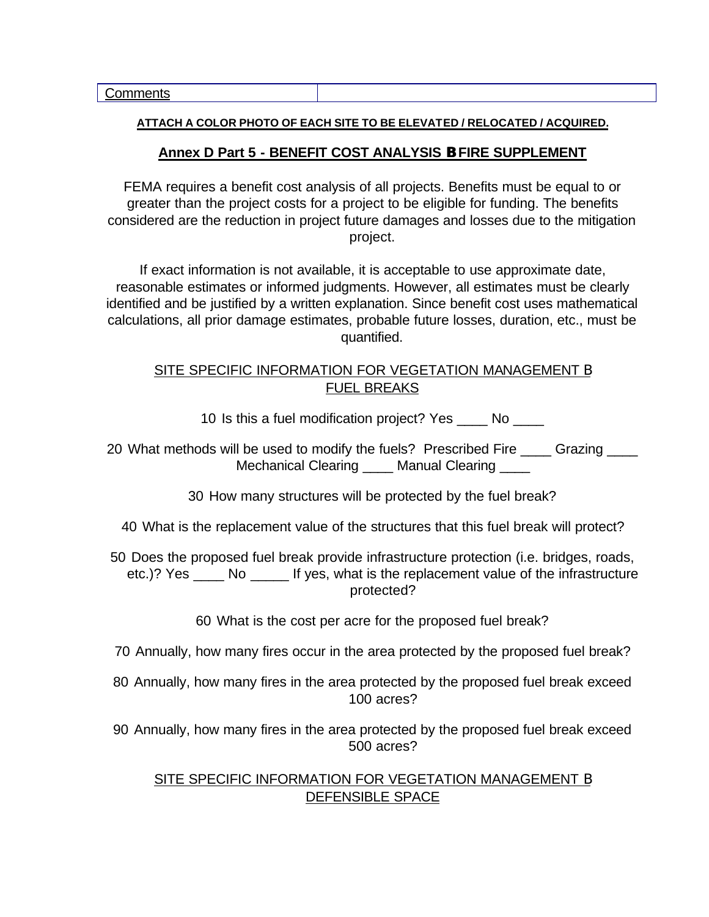#### **ATTACH A COLOR PHOTO OF EACH SITE TO BE ELEVATED / RELOCATED / ACQUIRED.**

#### **Annex D Part 5 - BENEFIT COST ANALYSIS B FIRE SUPPLEMENT**

FEMA requires a benefit cost analysis of all projects. Benefits must be equal to or greater than the project costs for a project to be eligible for funding. The benefits considered are the reduction in project future damages and losses due to the mitigation project.

If exact information is not available, it is acceptable to use approximate date, reasonable estimates or informed judgments. However, all estimates must be clearly identified and be justified by a written explanation. Since benefit cost uses mathematical calculations, all prior damage estimates, probable future losses, duration, etc., must be quantified.

#### SITE SPECIFIC INFORMATION FOR VEGETATION MANAGEMENT B FUEL BREAKS

10 Is this a fuel modification project? Yes \_\_\_\_ No \_\_\_\_

20 What methods will be used to modify the fuels? Prescribed Fire \_\_\_\_ Grazing \_\_\_\_ Mechanical Clearing \_\_\_\_\_ Manual Clearing \_\_\_\_\_

30 How many structures will be protected by the fuel break?

- 40 What is the replacement value of the structures that this fuel break will protect?
- 50 Does the proposed fuel break provide infrastructure protection (i.e. bridges, roads, etc.)? Yes No If yes, what is the replacement value of the infrastructure protected?

60 What is the cost per acre for the proposed fuel break?

- 70 Annually, how many fires occur in the area protected by the proposed fuel break?
- 80 Annually, how many fires in the area protected by the proposed fuel break exceed 100 acres?
- 90 Annually, how many fires in the area protected by the proposed fuel break exceed 500 acres?

#### SITE SPECIFIC INFORMATION FOR VEGETATION MANAGEMENT **B** DEFENSIBLE SPACE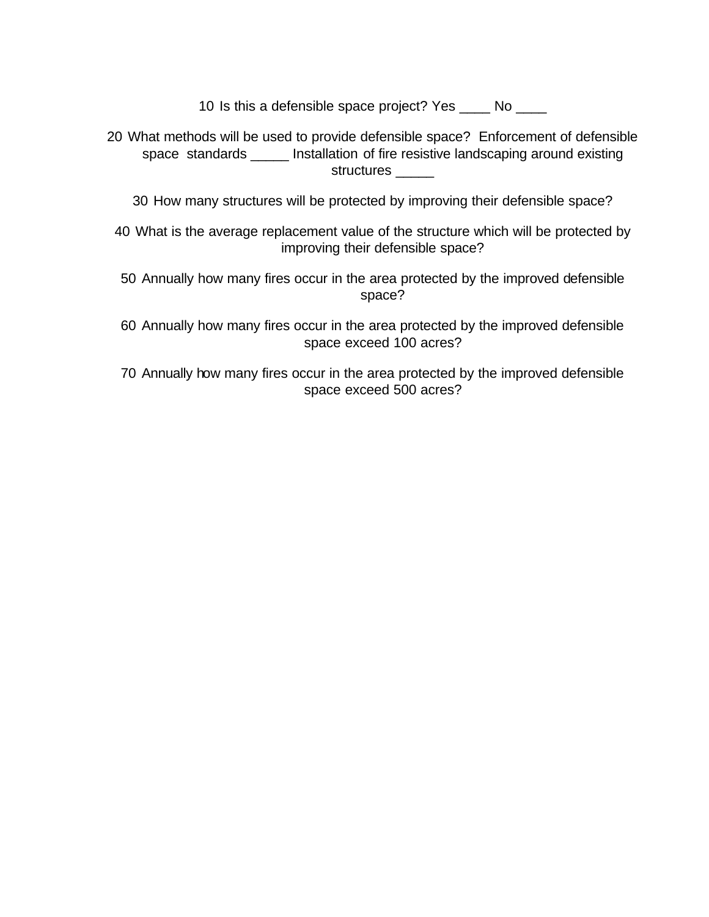10 Is this a defensible space project? Yes \_\_\_\_ No \_\_\_\_

- 20 What methods will be used to provide defensible space? Enforcement of defensible space standards \_\_\_\_\_ Installation of fire resistive landscaping around existing structures \_\_\_\_\_
	- 30 How many structures will be protected by improving their defensible space?
- 40 What is the average replacement value of the structure which will be protected by improving their defensible space?
- 50 Annually how many fires occur in the area protected by the improved defensible space?
- 60 Annually how many fires occur in the area protected by the improved defensible space exceed 100 acres?
- 70 Annually how many fires occur in the area protected by the improved defensible space exceed 500 acres?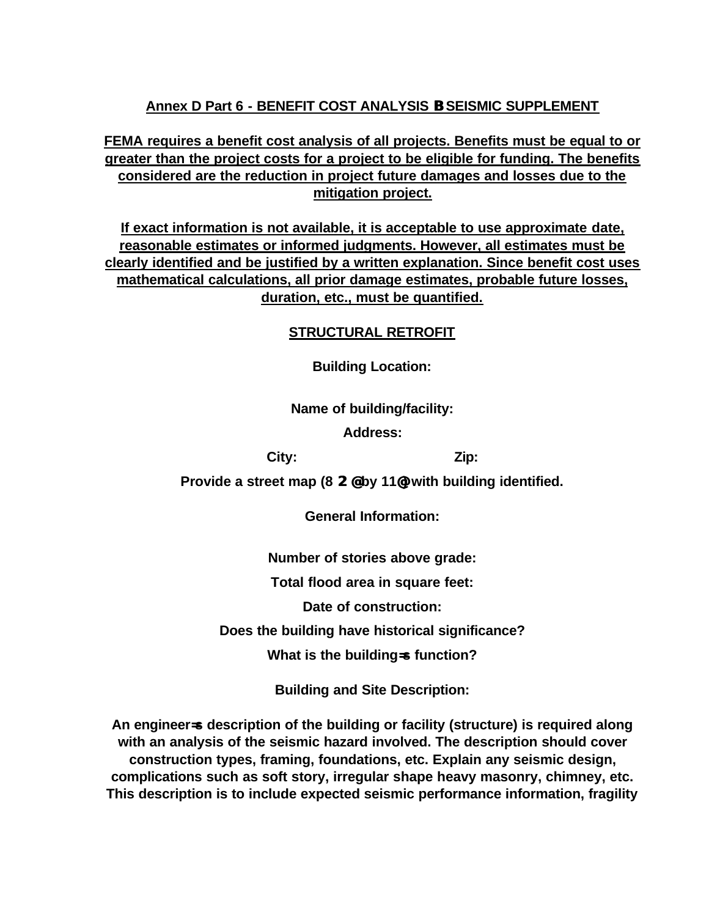## **Annex D Part 6 - BENEFIT COST ANALYSIS B SEISMIC SUPPLEMENT**

**FEMA requires a benefit cost analysis of all projects. Benefits must be equal to or greater than the project costs for a project to be eligible for funding. The benefits considered are the reduction in project future damages and losses due to the mitigation project.**

**If exact information is not available, it is acceptable to use approximate date, reasonable estimates or informed judgments. However, all estimates must be clearly identified and be justified by a written explanation. Since benefit cost uses mathematical calculations, all prior damage estimates, probable future losses, duration, etc., must be quantified.**

#### **STRUCTURAL RETROFIT**

**Building Location:**

#### **Name of building/facility:**

**Address:**

**City: Zip:**

**Provide a street map (8 2@ by 11@) with building identified.**

**General Information:**

**Number of stories above grade:**

**Total flood area in square feet:**

**Date of construction:**

**Does the building have historical significance?**

**What is the building=s function?**

**Building and Site Description:**

**An engineer=s description of the building or facility (structure) is required along with an analysis of the seismic hazard involved. The description should cover construction types, framing, foundations, etc. Explain any seismic design, complications such as soft story, irregular shape heavy masonry, chimney, etc. This description is to include expected seismic performance information, fragility**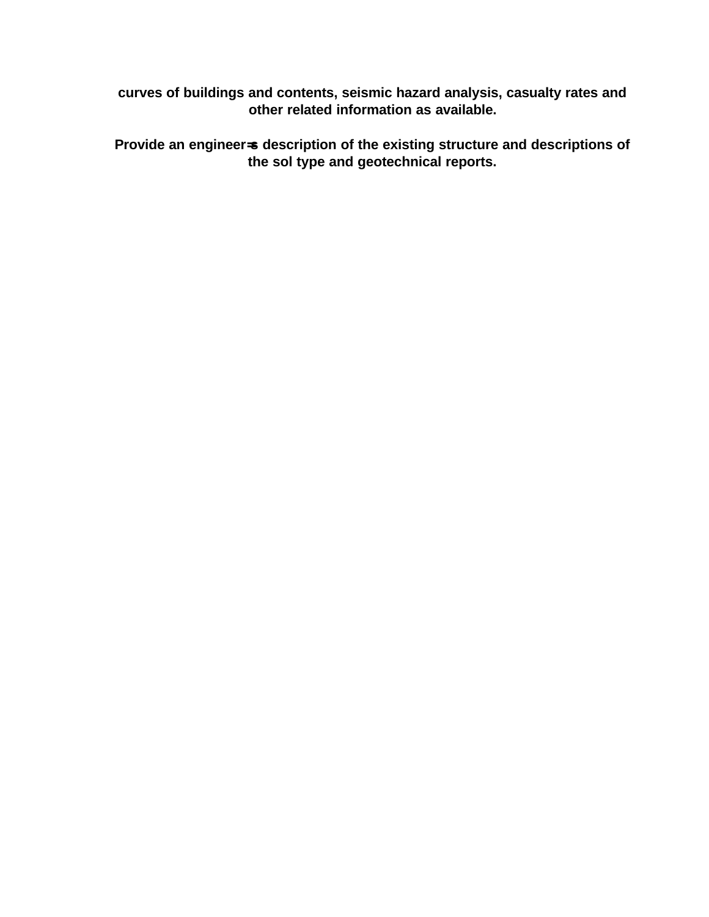**curves of buildings and contents, seismic hazard analysis, casualty rates and other related information as available.** 

**Provide an engineer=s description of the existing structure and descriptions of the sol type and geotechnical reports.**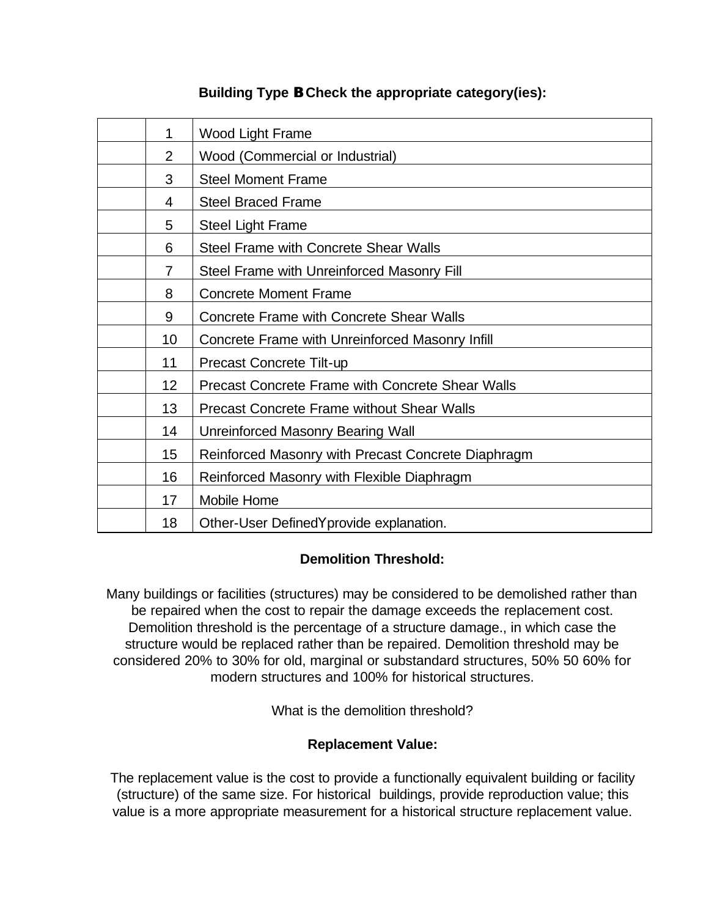| 1              | Wood Light Frame                                        |
|----------------|---------------------------------------------------------|
| $\overline{2}$ | Wood (Commercial or Industrial)                         |
| 3              | <b>Steel Moment Frame</b>                               |
| 4              | <b>Steel Braced Frame</b>                               |
| 5              | <b>Steel Light Frame</b>                                |
| 6              | <b>Steel Frame with Concrete Shear Walls</b>            |
| $\overline{7}$ | Steel Frame with Unreinforced Masonry Fill              |
| 8              | <b>Concrete Moment Frame</b>                            |
| 9              | <b>Concrete Frame with Concrete Shear Walls</b>         |
| 10             | Concrete Frame with Unreinforced Masonry Infill         |
| 11             | Precast Concrete Tilt-up                                |
| 12             | <b>Precast Concrete Frame with Concrete Shear Walls</b> |
| 13             | <b>Precast Concrete Frame without Shear Walls</b>       |
| 14             | Unreinforced Masonry Bearing Wall                       |
| 15             | Reinforced Masonry with Precast Concrete Diaphragm      |
| 16             | Reinforced Masonry with Flexible Diaphragm              |
| 17             | Mobile Home                                             |
| 18             | Other-User DefinedYprovide explanation.                 |

# **Building Type B Check the appropriate category(ies):**

### **Demolition Threshold:**

Many buildings or facilities (structures) may be considered to be demolished rather than be repaired when the cost to repair the damage exceeds the replacement cost. Demolition threshold is the percentage of a structure damage., in which case the structure would be replaced rather than be repaired. Demolition threshold may be considered 20% to 30% for old, marginal or substandard structures, 50% 50 60% for modern structures and 100% for historical structures.

What is the demolition threshold?

### **Replacement Value:**

The replacement value is the cost to provide a functionally equivalent building or facility (structure) of the same size. For historical buildings, provide reproduction value; this value is a more appropriate measurement for a historical structure replacement value.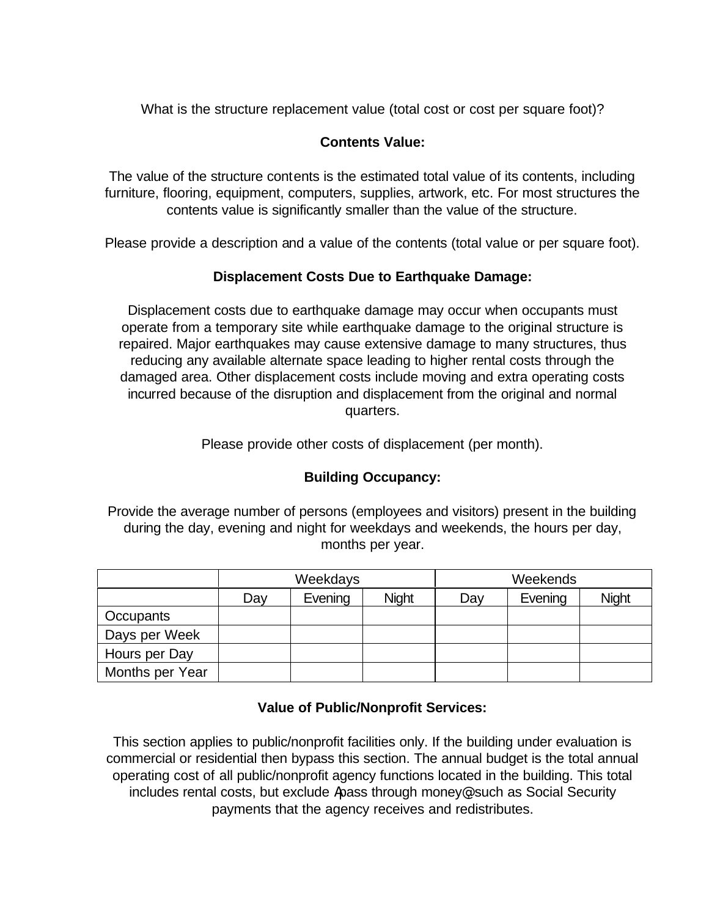What is the structure replacement value (total cost or cost per square foot)?

## **Contents Value:**

The value of the structure contents is the estimated total value of its contents, including furniture, flooring, equipment, computers, supplies, artwork, etc. For most structures the contents value is significantly smaller than the value of the structure.

Please provide a description and a value of the contents (total value or per square foot).

### **Displacement Costs Due to Earthquake Damage:**

Displacement costs due to earthquake damage may occur when occupants must operate from a temporary site while earthquake damage to the original structure is repaired. Major earthquakes may cause extensive damage to many structures, thus reducing any available alternate space leading to higher rental costs through the damaged area. Other displacement costs include moving and extra operating costs incurred because of the disruption and displacement from the original and normal quarters.

Please provide other costs of displacement (per month).

### **Building Occupancy:**

Provide the average number of persons (employees and visitors) present in the building during the day, evening and night for weekdays and weekends, the hours per day, months per year.

|                 | Weekdays |         |              | Weekends |         |              |
|-----------------|----------|---------|--------------|----------|---------|--------------|
|                 | Day      | Evening | <b>Night</b> | Day      | Evening | <b>Night</b> |
| Occupants       |          |         |              |          |         |              |
| Days per Week   |          |         |              |          |         |              |
| Hours per Day   |          |         |              |          |         |              |
| Months per Year |          |         |              |          |         |              |

### **Value of Public/Nonprofit Services:**

This section applies to public/nonprofit facilities only. If the building under evaluation is commercial or residential then bypass this section. The annual budget is the total annual operating cost of all public/nonprofit agency functions located in the building. This total includes rental costs, but exclude Apass through money@, such as Social Security payments that the agency receives and redistributes.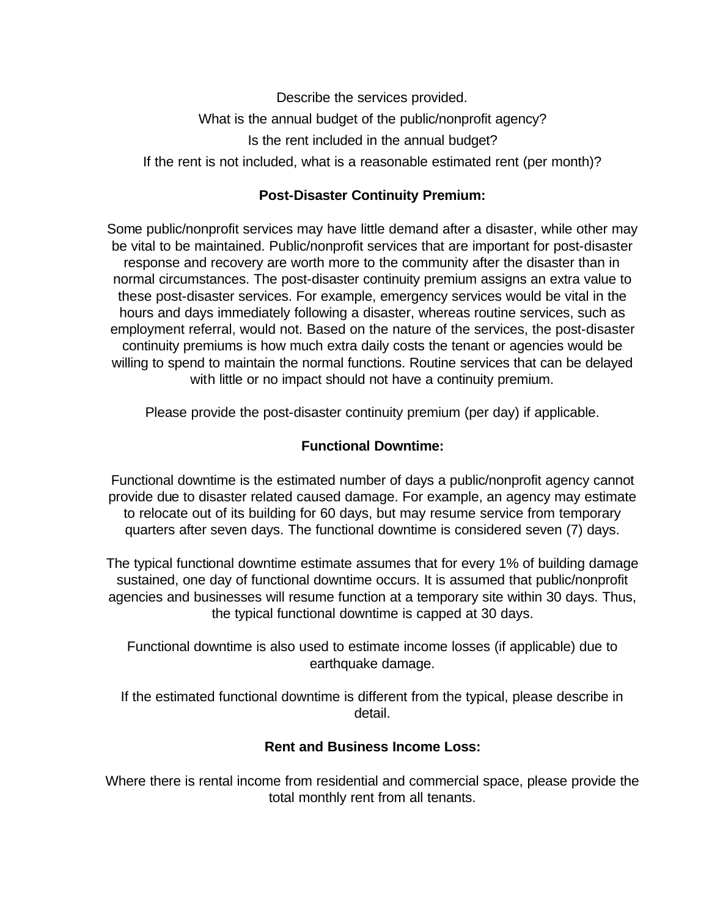Describe the services provided. What is the annual budget of the public/nonprofit agency? Is the rent included in the annual budget? If the rent is not included, what is a reasonable estimated rent (per month)?

#### **Post-Disaster Continuity Premium:**

Some public/nonprofit services may have little demand after a disaster, while other may be vital to be maintained. Public/nonprofit services that are important for post-disaster response and recovery are worth more to the community after the disaster than in normal circumstances. The post-disaster continuity premium assigns an extra value to these post-disaster services. For example, emergency services would be vital in the hours and days immediately following a disaster, whereas routine services, such as employment referral, would not. Based on the nature of the services, the post-disaster continuity premiums is how much extra daily costs the tenant or agencies would be willing to spend to maintain the normal functions. Routine services that can be delayed with little or no impact should not have a continuity premium.

Please provide the post-disaster continuity premium (per day) if applicable.

#### **Functional Downtime:**

Functional downtime is the estimated number of days a public/nonprofit agency cannot provide due to disaster related caused damage. For example, an agency may estimate to relocate out of its building for 60 days, but may resume service from temporary quarters after seven days. The functional downtime is considered seven (7) days.

The typical functional downtime estimate assumes that for every 1% of building damage sustained, one day of functional downtime occurs. It is assumed that public/nonprofit agencies and businesses will resume function at a temporary site within 30 days. Thus, the typical functional downtime is capped at 30 days.

Functional downtime is also used to estimate income losses (if applicable) due to earthquake damage.

If the estimated functional downtime is different from the typical, please describe in detail.

#### **Rent and Business Income Loss:**

Where there is rental income from residential and commercial space, please provide the total monthly rent from all tenants.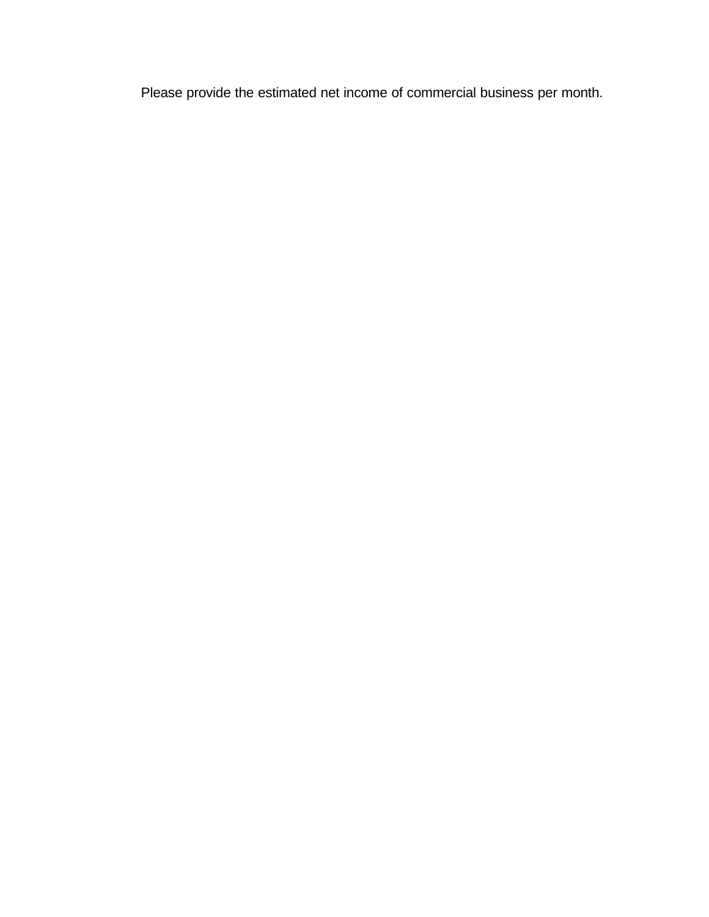Please provide the estimated net income of commercial business per month.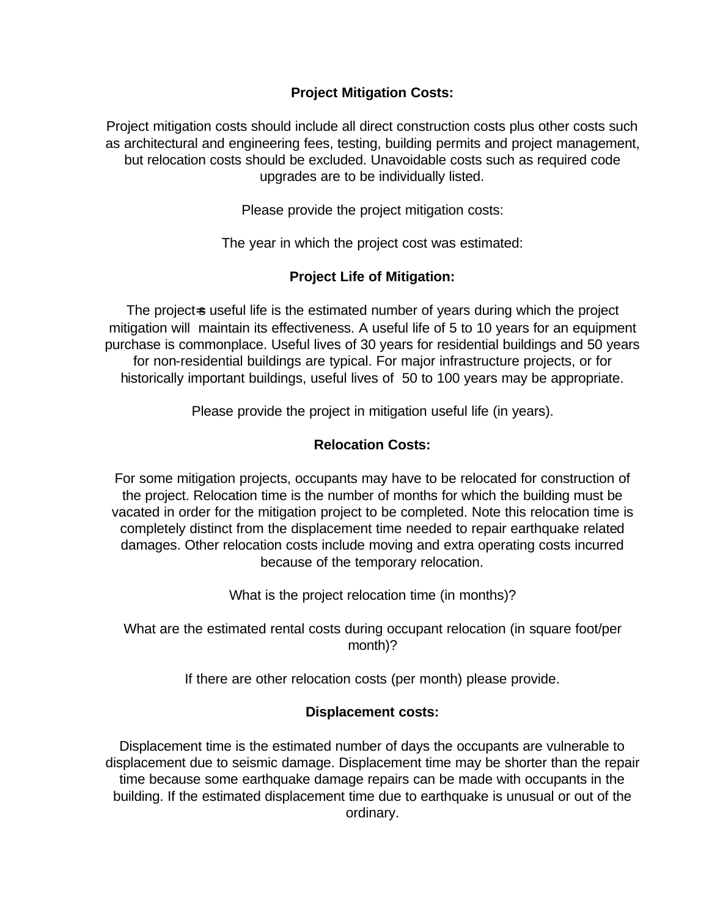### **Project Mitigation Costs:**

Project mitigation costs should include all direct construction costs plus other costs such as architectural and engineering fees, testing, building permits and project management, but relocation costs should be excluded. Unavoidable costs such as required code upgrades are to be individually listed.

Please provide the project mitigation costs:

The year in which the project cost was estimated:

### **Project Life of Mitigation:**

The project-s useful life is the estimated number of years during which the project mitigation will maintain its effectiveness. A useful life of 5 to 10 years for an equipment purchase is commonplace. Useful lives of 30 years for residential buildings and 50 years for non-residential buildings are typical. For major infrastructure projects, or for historically important buildings, useful lives of 50 to 100 years may be appropriate.

Please provide the project in mitigation useful life (in years).

### **Relocation Costs:**

For some mitigation projects, occupants may have to be relocated for construction of the project. Relocation time is the number of months for which the building must be vacated in order for the mitigation project to be completed. Note this relocation time is completely distinct from the displacement time needed to repair earthquake related damages. Other relocation costs include moving and extra operating costs incurred because of the temporary relocation.

What is the project relocation time (in months)?

What are the estimated rental costs during occupant relocation (in square foot/per month)?

If there are other relocation costs (per month) please provide.

### **Displacement costs:**

Displacement time is the estimated number of days the occupants are vulnerable to displacement due to seismic damage. Displacement time may be shorter than the repair time because some earthquake damage repairs can be made with occupants in the building. If the estimated displacement time due to earthquake is unusual or out of the ordinary.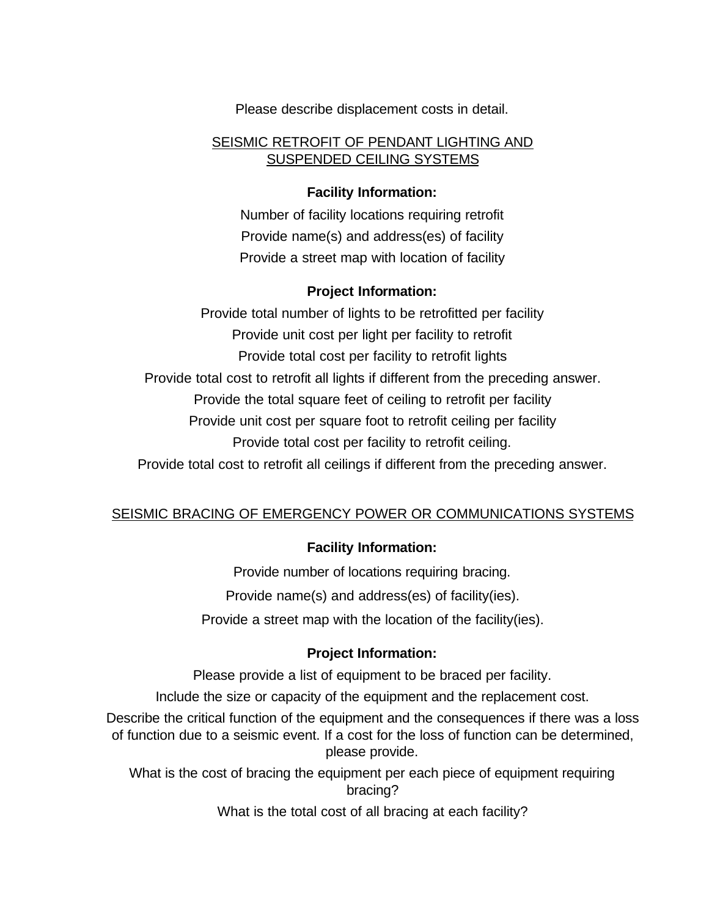Please describe displacement costs in detail.

#### SEISMIC RETROFIT OF PENDANT LIGHTING AND SUSPENDED CEILING SYSTEMS

### **Facility Information:**

Number of facility locations requiring retrofit Provide name(s) and address(es) of facility Provide a street map with location of facility

# **Project Information:**

Provide total number of lights to be retrofitted per facility Provide unit cost per light per facility to retrofit Provide total cost per facility to retrofit lights Provide total cost to retrofit all lights if different from the preceding answer. Provide the total square feet of ceiling to retrofit per facility Provide unit cost per square foot to retrofit ceiling per facility Provide total cost per facility to retrofit ceiling. Provide total cost to retrofit all ceilings if different from the preceding answer.

### SEISMIC BRACING OF EMERGENCY POWER OR COMMUNICATIONS SYSTEMS

# **Facility Information:**

Provide number of locations requiring bracing. Provide name(s) and address(es) of facility(ies). Provide a street map with the location of the facility(ies).

### **Project Information:**

Please provide a list of equipment to be braced per facility.

Include the size or capacity of the equipment and the replacement cost.

Describe the critical function of the equipment and the consequences if there was a loss of function due to a seismic event. If a cost for the loss of function can be determined, please provide.

What is the cost of bracing the equipment per each piece of equipment requiring bracing?

What is the total cost of all bracing at each facility?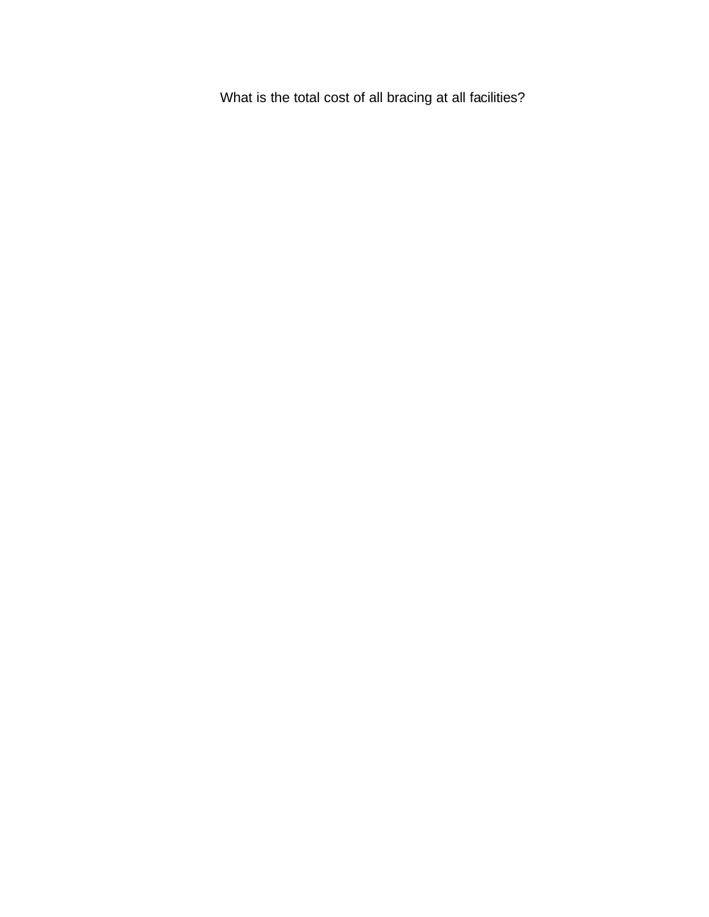What is the total cost of all bracing at all facilities?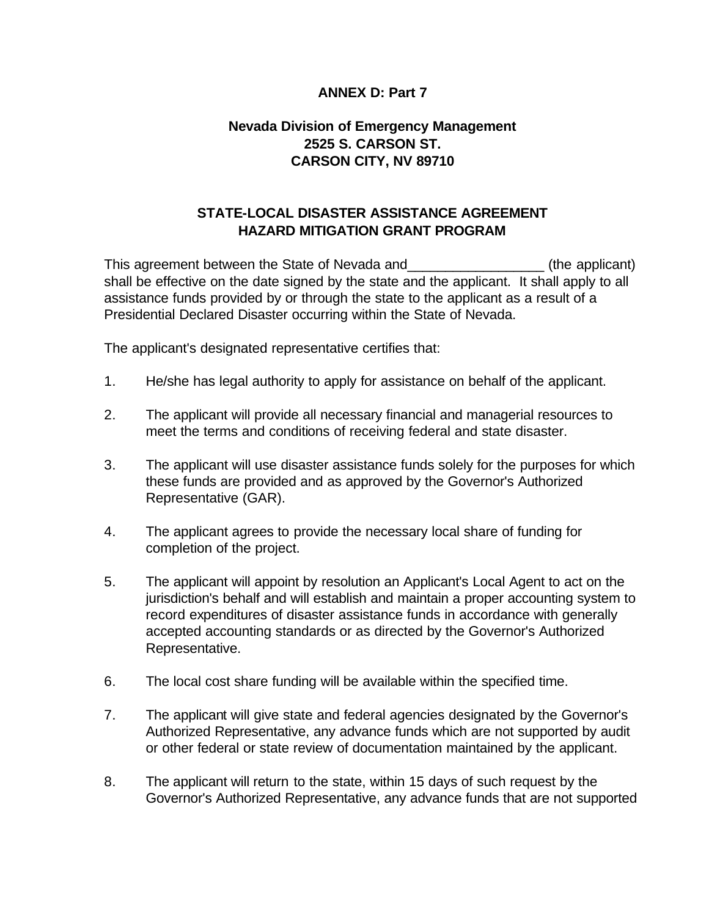#### **ANNEX D: Part 7**

# **Nevada Division of Emergency Management 2525 S. CARSON ST. CARSON CITY, NV 89710**

### **STATE-LOCAL DISASTER ASSISTANCE AGREEMENT HAZARD MITIGATION GRANT PROGRAM**

This agreement between the State of Nevada and\_\_\_\_\_\_\_\_\_\_\_\_\_\_\_\_\_\_ (the applicant) shall be effective on the date signed by the state and the applicant. It shall apply to all assistance funds provided by or through the state to the applicant as a result of a Presidential Declared Disaster occurring within the State of Nevada.

The applicant's designated representative certifies that:

- 1. He/she has legal authority to apply for assistance on behalf of the applicant.
- 2. The applicant will provide all necessary financial and managerial resources to meet the terms and conditions of receiving federal and state disaster.
- 3. The applicant will use disaster assistance funds solely for the purposes for which these funds are provided and as approved by the Governor's Authorized Representative (GAR).
- 4. The applicant agrees to provide the necessary local share of funding for completion of the project.
- 5. The applicant will appoint by resolution an Applicant's Local Agent to act on the jurisdiction's behalf and will establish and maintain a proper accounting system to record expenditures of disaster assistance funds in accordance with generally accepted accounting standards or as directed by the Governor's Authorized Representative.
- 6. The local cost share funding will be available within the specified time.
- 7. The applicant will give state and federal agencies designated by the Governor's Authorized Representative, any advance funds which are not supported by audit or other federal or state review of documentation maintained by the applicant.
- 8. The applicant will return to the state, within 15 days of such request by the Governor's Authorized Representative, any advance funds that are not supported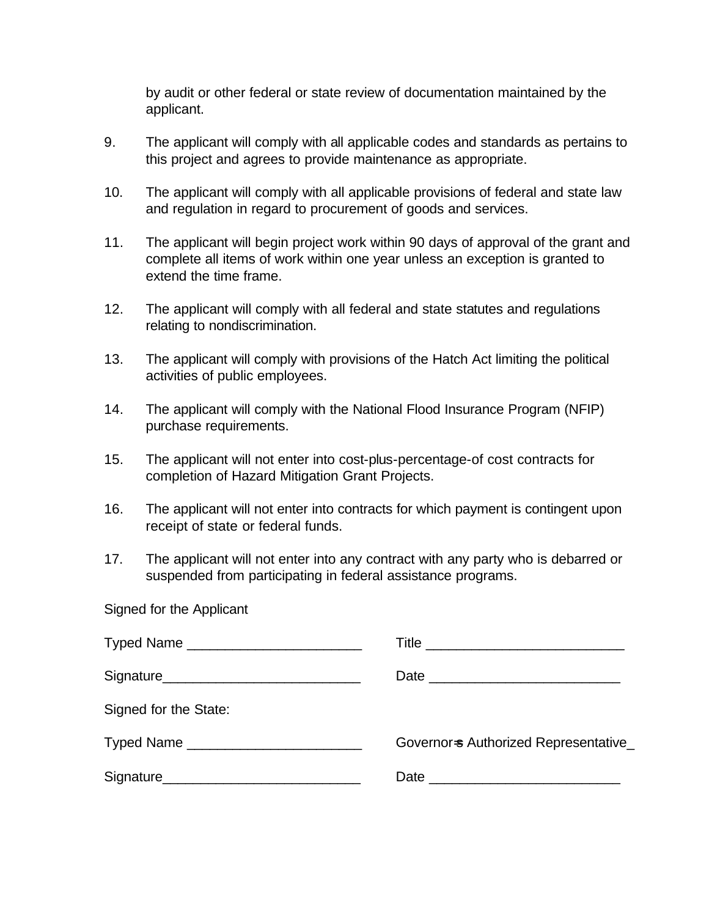by audit or other federal or state review of documentation maintained by the applicant.

- 9. The applicant will comply with all applicable codes and standards as pertains to this project and agrees to provide maintenance as appropriate.
- 10. The applicant will comply with all applicable provisions of federal and state law and regulation in regard to procurement of goods and services.
- 11. The applicant will begin project work within 90 days of approval of the grant and complete all items of work within one year unless an exception is granted to extend the time frame.
- 12. The applicant will comply with all federal and state statutes and regulations relating to nondiscrimination.
- 13. The applicant will comply with provisions of the Hatch Act limiting the political activities of public employees.
- 14. The applicant will comply with the National Flood Insurance Program (NFIP) purchase requirements.
- 15. The applicant will not enter into cost-plus-percentage-of cost contracts for completion of Hazard Mitigation Grant Projects.
- 16. The applicant will not enter into contracts for which payment is contingent upon receipt of state or federal funds.
- 17. The applicant will not enter into any contract with any party who is debarred or suspended from participating in federal assistance programs.

Signed for the Applicant

| Signature_________________________________ | Date                                 |
|--------------------------------------------|--------------------------------------|
| Signed for the State:                      |                                      |
|                                            | Governor-s Authorized Representative |
|                                            |                                      |